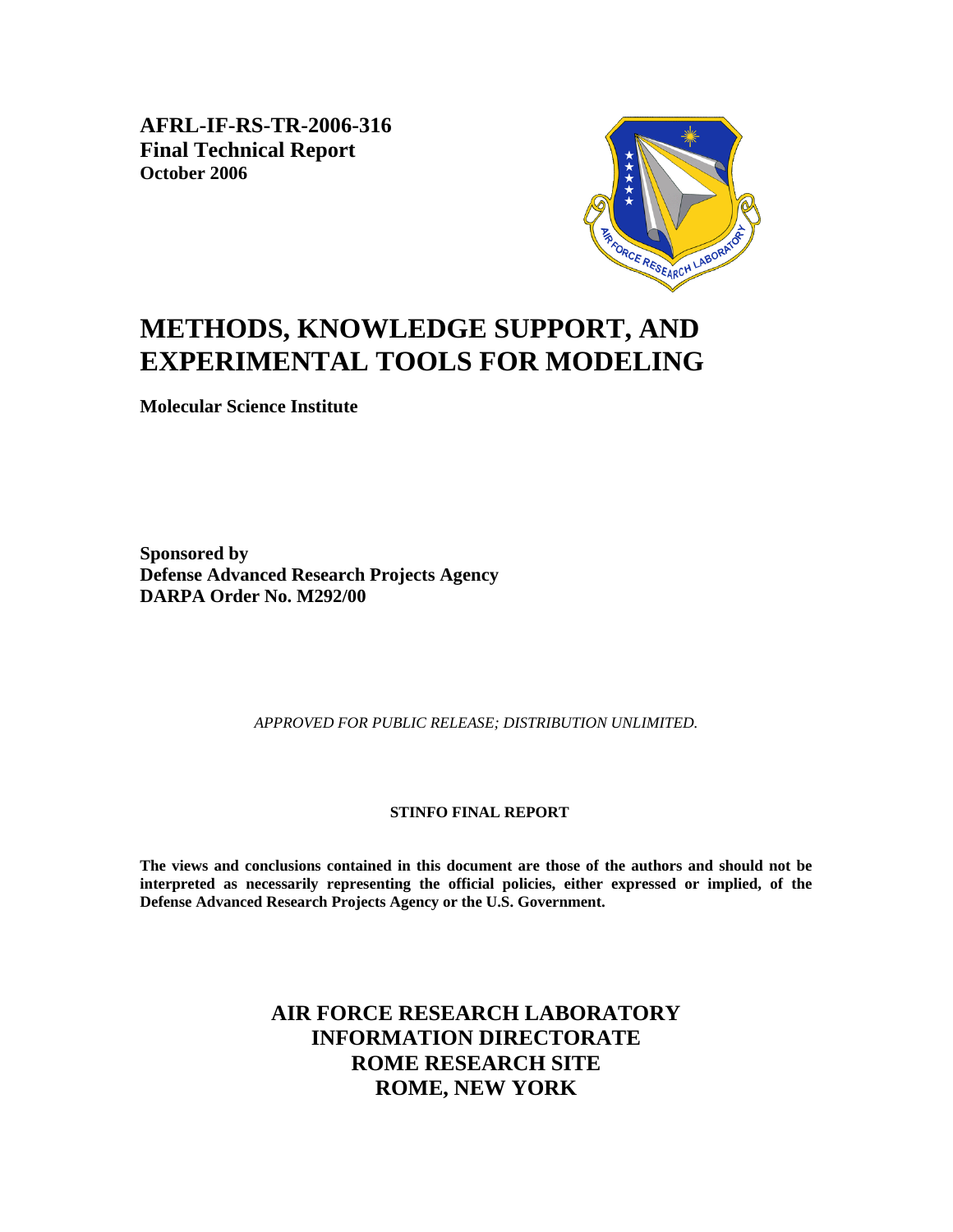**AFRL-IF-RS-TR-2006-316 Final Technical Report October 2006** 



# **METHODS, KNOWLEDGE SUPPORT, AND EXPERIMENTAL TOOLS FOR MODELING**

**Molecular Science Institute** 

**Sponsored by Defense Advanced Research Projects Agency DARPA Order No. M292/00** 

*APPROVED FOR PUBLIC RELEASE; DISTRIBUTION UNLIMITED.* 

#### **STINFO FINAL REPORT**

**The views and conclusions contained in this document are those of the authors and should not be interpreted as necessarily representing the official policies, either expressed or implied, of the Defense Advanced Research Projects Agency or the U.S. Government.** 

## **AIR FORCE RESEARCH LABORATORY INFORMATION DIRECTORATE ROME RESEARCH SITE ROME, NEW YORK**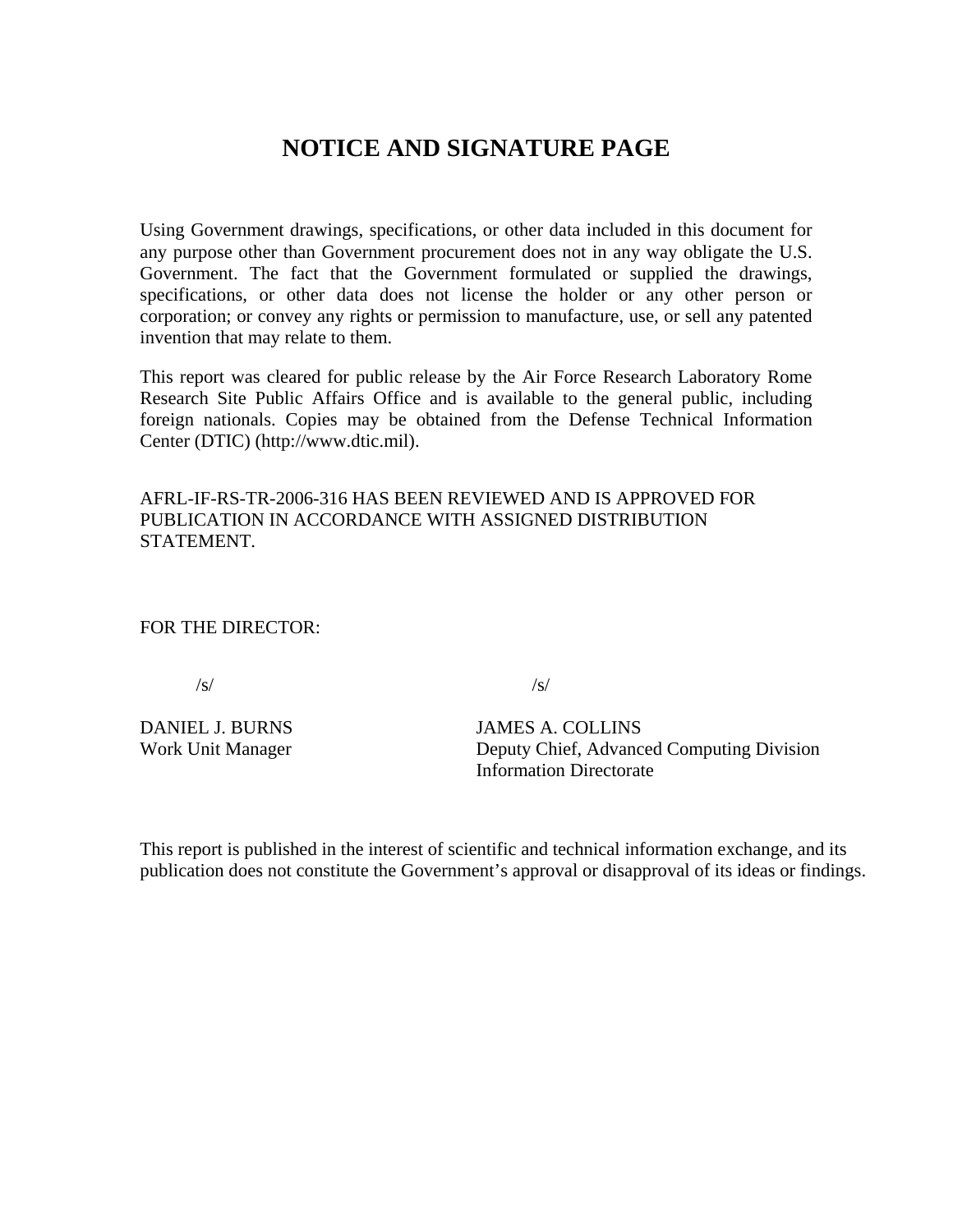## **NOTICE AND SIGNATURE PAGE**

Using Government drawings, specifications, or other data included in this document for any purpose other than Government procurement does not in any way obligate the U.S. Government. The fact that the Government formulated or supplied the drawings, specifications, or other data does not license the holder or any other person or corporation; or convey any rights or permission to manufacture, use, or sell any patented invention that may relate to them.

This report was cleared for public release by the Air Force Research Laboratory Rome Research Site Public Affairs Office and is available to the general public, including foreign nationals. Copies may be obtained from the Defense Technical Information Center (DTIC) (http://www.dtic.mil).

AFRL-IF-RS-TR-2006-316 HAS BEEN REVIEWED AND IS APPROVED FOR PUBLICATION IN ACCORDANCE WITH ASSIGNED DISTRIBUTION STATEMENT.

FOR THE DIRECTOR:

 $\sqrt{s}$ / $\sqrt{s}$ / $\sqrt{s}$ / $\sqrt{s}$ / $\sqrt{s}$ / $\sqrt{s}$ / $\sqrt{s}$ / $\sqrt{s}$ / $\sqrt{s}$ / $\sqrt{s}$ / $\sqrt{s}$ / $\sqrt{s}$ / $\sqrt{s}$ / $\sqrt{s}$ / $\sqrt{s}$ / $\sqrt{s}$ / $\sqrt{s}$ / $\sqrt{s}$ / $\sqrt{s}$ / $\sqrt{s}$ / $\sqrt{s}$ / $\sqrt{s}$ / $\sqrt{s}$ / $\sqrt{s}$ / $\sqrt{s}$ / $\sqrt{s}$ / $\sqrt{s}$ / $\sqrt{s}$ / $\sqrt{s}$ / $\sqrt{s}$ / $\sqrt{s}$ / $\sqrt{s$ 

DANIEL J. BURNS JAMES A. COLLINS Work Unit Manager Deputy Chief, Advanced Computing Division Information Directorate

This report is published in the interest of scientific and technical information exchange, and its publication does not constitute the Government's approval or disapproval of its ideas or findings.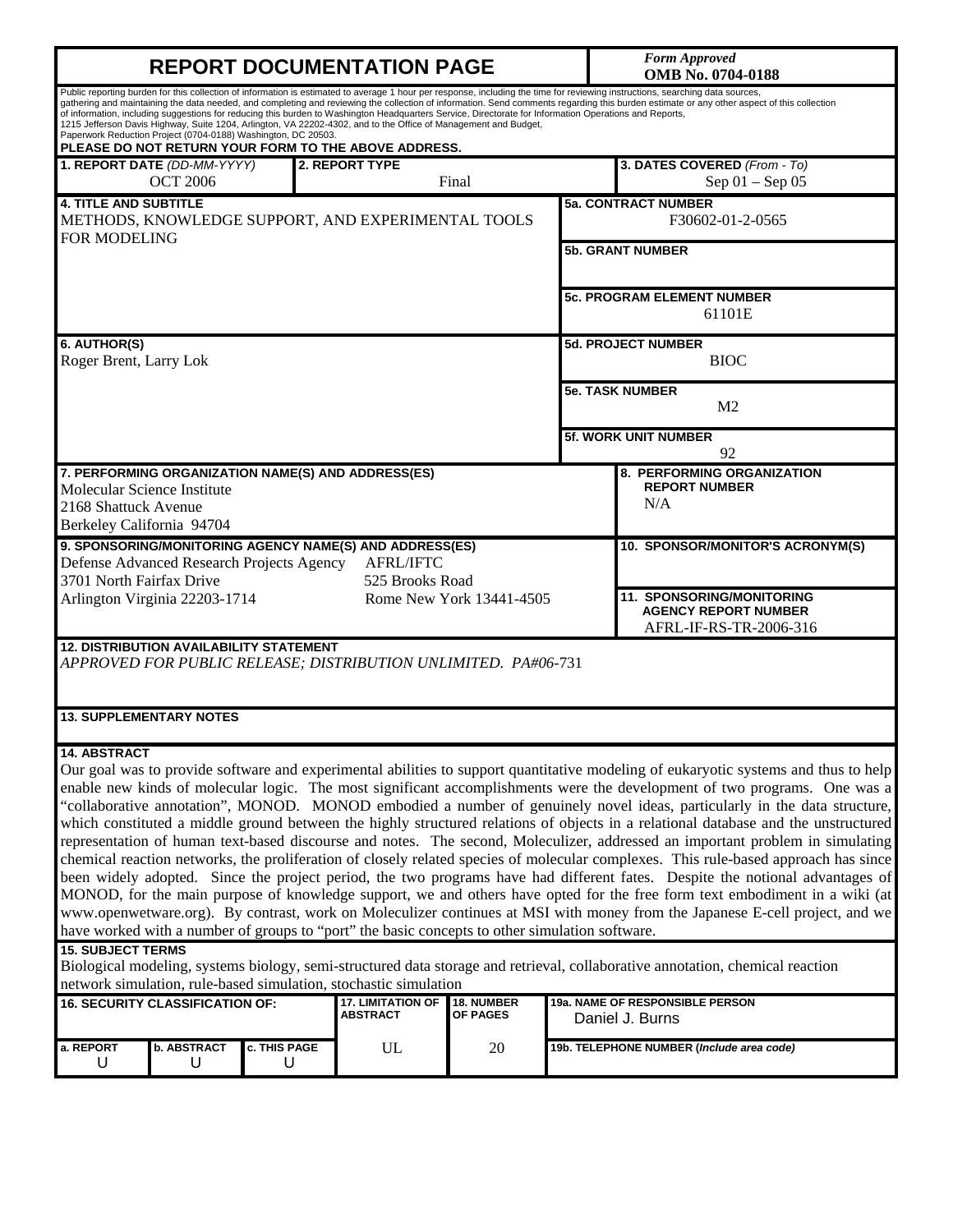# **REPORT DOCUMENTATION PAGE** *Form Approved*

**OMB No. 0704-0188**

|                                                                                  |                                                | Paperwork Reduction Project (0704-0188) Washington, DC 20503. | of information, including suggestions for reducing this burden to Washington Headquarters Service, Directorate for Information Operations and Reports,<br>1215 Jefferson Davis Highway, Suite 1204, Arlington, VA 22202-4302, and to the Office of Management and Budget,<br>PLEASE DO NOT RETURN YOUR FORM TO THE ABOVE ADDRESS. |                          | Public reporting burden for this collection of information is estimated to average 1 hour per response, including the time for reviewing instructions, searching data sources,<br>gathering and maintaining the data needed, and completing and reviewing the collection of information. Send comments regarding this burden estimate or any other aspect of this collection                                                                                                                                                                                                                                                                                                                                                                                                                                                                                                                                                                                                                                                                                                                                                                                                                                                                                                                                                             |
|----------------------------------------------------------------------------------|------------------------------------------------|---------------------------------------------------------------|-----------------------------------------------------------------------------------------------------------------------------------------------------------------------------------------------------------------------------------------------------------------------------------------------------------------------------------|--------------------------|------------------------------------------------------------------------------------------------------------------------------------------------------------------------------------------------------------------------------------------------------------------------------------------------------------------------------------------------------------------------------------------------------------------------------------------------------------------------------------------------------------------------------------------------------------------------------------------------------------------------------------------------------------------------------------------------------------------------------------------------------------------------------------------------------------------------------------------------------------------------------------------------------------------------------------------------------------------------------------------------------------------------------------------------------------------------------------------------------------------------------------------------------------------------------------------------------------------------------------------------------------------------------------------------------------------------------------------|
|                                                                                  | 1. REPORT DATE (DD-MM-YYYY)<br><b>OCT 2006</b> |                                                               | 2. REPORT TYPE                                                                                                                                                                                                                                                                                                                    | Final                    | 3. DATES COVERED (From - To)<br>Sep $01 -$ Sep $05$                                                                                                                                                                                                                                                                                                                                                                                                                                                                                                                                                                                                                                                                                                                                                                                                                                                                                                                                                                                                                                                                                                                                                                                                                                                                                      |
| <b>4. TITLE AND SUBTITLE</b><br><b>FOR MODELING</b>                              |                                                |                                                               | METHODS, KNOWLEDGE SUPPORT, AND EXPERIMENTAL TOOLS                                                                                                                                                                                                                                                                                |                          | <b>5a. CONTRACT NUMBER</b><br>F30602-01-2-0565                                                                                                                                                                                                                                                                                                                                                                                                                                                                                                                                                                                                                                                                                                                                                                                                                                                                                                                                                                                                                                                                                                                                                                                                                                                                                           |
|                                                                                  |                                                |                                                               |                                                                                                                                                                                                                                                                                                                                   |                          | <b>5b. GRANT NUMBER</b>                                                                                                                                                                                                                                                                                                                                                                                                                                                                                                                                                                                                                                                                                                                                                                                                                                                                                                                                                                                                                                                                                                                                                                                                                                                                                                                  |
|                                                                                  |                                                |                                                               |                                                                                                                                                                                                                                                                                                                                   |                          | <b>5c. PROGRAM ELEMENT NUMBER</b><br>61101E                                                                                                                                                                                                                                                                                                                                                                                                                                                                                                                                                                                                                                                                                                                                                                                                                                                                                                                                                                                                                                                                                                                                                                                                                                                                                              |
| 6. AUTHOR(S)<br>Roger Brent, Larry Lok                                           |                                                |                                                               |                                                                                                                                                                                                                                                                                                                                   |                          | <b>5d. PROJECT NUMBER</b><br><b>BIOC</b>                                                                                                                                                                                                                                                                                                                                                                                                                                                                                                                                                                                                                                                                                                                                                                                                                                                                                                                                                                                                                                                                                                                                                                                                                                                                                                 |
|                                                                                  |                                                |                                                               |                                                                                                                                                                                                                                                                                                                                   |                          | <b>5e. TASK NUMBER</b><br>M <sub>2</sub>                                                                                                                                                                                                                                                                                                                                                                                                                                                                                                                                                                                                                                                                                                                                                                                                                                                                                                                                                                                                                                                                                                                                                                                                                                                                                                 |
|                                                                                  |                                                |                                                               |                                                                                                                                                                                                                                                                                                                                   |                          | <b>5f. WORK UNIT NUMBER</b><br>92                                                                                                                                                                                                                                                                                                                                                                                                                                                                                                                                                                                                                                                                                                                                                                                                                                                                                                                                                                                                                                                                                                                                                                                                                                                                                                        |
| Molecular Science Institute<br>2168 Shattuck Avenue<br>Berkeley California 94704 |                                                |                                                               | 7. PERFORMING ORGANIZATION NAME(S) AND ADDRESS(ES)                                                                                                                                                                                                                                                                                |                          | 8. PERFORMING ORGANIZATION<br><b>REPORT NUMBER</b><br>N/A                                                                                                                                                                                                                                                                                                                                                                                                                                                                                                                                                                                                                                                                                                                                                                                                                                                                                                                                                                                                                                                                                                                                                                                                                                                                                |
| 3701 North Fairfax Drive                                                         |                                                | Defense Advanced Research Projects Agency                     | 9. SPONSORING/MONITORING AGENCY NAME(S) AND ADDRESS(ES)<br><b>AFRL/IFTC</b><br>525 Brooks Road                                                                                                                                                                                                                                    |                          | 10. SPONSOR/MONITOR'S ACRONYM(S)                                                                                                                                                                                                                                                                                                                                                                                                                                                                                                                                                                                                                                                                                                                                                                                                                                                                                                                                                                                                                                                                                                                                                                                                                                                                                                         |
|                                                                                  | Arlington Virginia 22203-1714                  |                                                               |                                                                                                                                                                                                                                                                                                                                   | Rome New York 13441-4505 | 11. SPONSORING/MONITORING<br><b>AGENCY REPORT NUMBER</b><br>AFRL-IF-RS-TR-2006-316                                                                                                                                                                                                                                                                                                                                                                                                                                                                                                                                                                                                                                                                                                                                                                                                                                                                                                                                                                                                                                                                                                                                                                                                                                                       |
|                                                                                  |                                                | <b>12. DISTRIBUTION AVAILABILITY STATEMENT</b>                | APPROVED FOR PUBLIC RELEASE; DISTRIBUTION UNLIMITED. PA#06-731                                                                                                                                                                                                                                                                    |                          |                                                                                                                                                                                                                                                                                                                                                                                                                                                                                                                                                                                                                                                                                                                                                                                                                                                                                                                                                                                                                                                                                                                                                                                                                                                                                                                                          |
| <b>13. SUPPLEMENTARY NOTES</b>                                                   |                                                |                                                               |                                                                                                                                                                                                                                                                                                                                   |                          |                                                                                                                                                                                                                                                                                                                                                                                                                                                                                                                                                                                                                                                                                                                                                                                                                                                                                                                                                                                                                                                                                                                                                                                                                                                                                                                                          |
| <b>14. ABSTRACT</b><br><b>15. SUBJECT TERMS</b>                                  |                                                |                                                               | have worked with a number of groups to "port" the basic concepts to other simulation software.<br>network simulation, rule-based simulation, stochastic simulation                                                                                                                                                                |                          | Our goal was to provide software and experimental abilities to support quantitative modeling of eukaryotic systems and thus to help<br>enable new kinds of molecular logic. The most significant accomplishments were the development of two programs. One was a<br>"collaborative annotation", MONOD. MONOD embodied a number of genuinely novel ideas, particularly in the data structure,<br>which constituted a middle ground between the highly structured relations of objects in a relational database and the unstructured<br>representation of human text-based discourse and notes. The second, Moleculizer, addressed an important problem in simulating<br>chemical reaction networks, the proliferation of closely related species of molecular complexes. This rule-based approach has since<br>been widely adopted. Since the project period, the two programs have had different fates. Despite the notional advantages of<br>MONOD, for the main purpose of knowledge support, we and others have opted for the free form text embodiment in a wiki (at<br>www.openwetware.org). By contrast, work on Moleculizer continues at MSI with money from the Japanese E-cell project, and we<br>Biological modeling, systems biology, semi-structured data storage and retrieval, collaborative annotation, chemical reaction |
| <b>16. SECURITY CLASSIFICATION OF:</b>                                           |                                                |                                                               | <b>17. LIMITATION OF</b><br><b>ABSTRACT</b>                                                                                                                                                                                                                                                                                       | 18. NUMBER<br>OF PAGES   | 19a. NAME OF RESPONSIBLE PERSON<br>Daniel J. Burns                                                                                                                                                                                                                                                                                                                                                                                                                                                                                                                                                                                                                                                                                                                                                                                                                                                                                                                                                                                                                                                                                                                                                                                                                                                                                       |
| a. REPORT<br>U                                                                   | <b>b. ABSTRACT</b><br>U                        | c. THIS PAGE<br>U                                             | UL                                                                                                                                                                                                                                                                                                                                | 20                       | 19b. TELEPHONE NUMBER (Include area code)                                                                                                                                                                                                                                                                                                                                                                                                                                                                                                                                                                                                                                                                                                                                                                                                                                                                                                                                                                                                                                                                                                                                                                                                                                                                                                |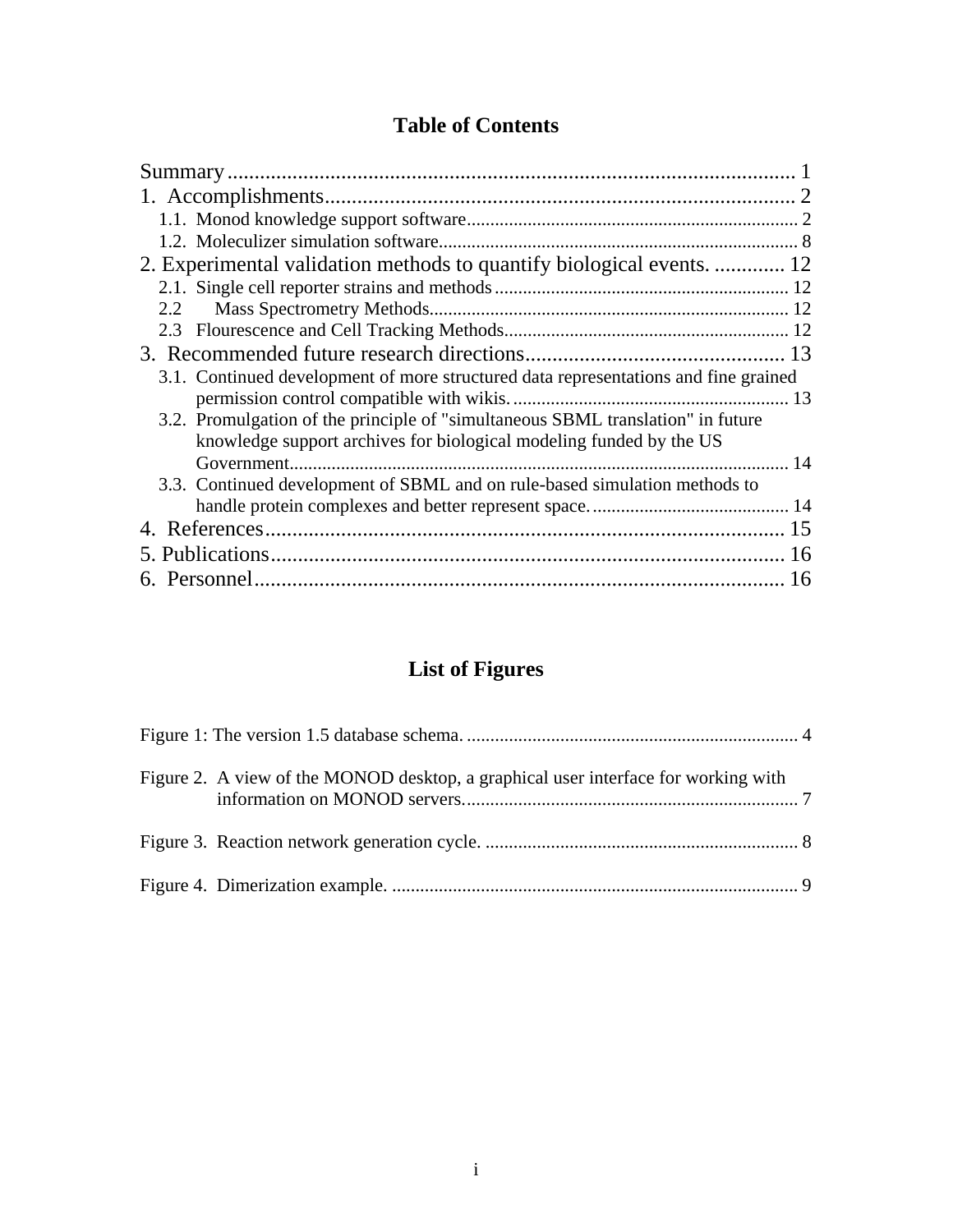## **Table of Contents**

| 2. Experimental validation methods to quantify biological events.  12               |    |
|-------------------------------------------------------------------------------------|----|
|                                                                                     |    |
| 2.2                                                                                 |    |
|                                                                                     |    |
|                                                                                     |    |
| 3.1. Continued development of more structured data representations and fine grained |    |
|                                                                                     |    |
| 3.2. Promulgation of the principle of "simultaneous SBML translation" in future     |    |
| knowledge support archives for biological modeling funded by the US                 |    |
|                                                                                     |    |
| 3.3. Continued development of SBML and on rule-based simulation methods to          |    |
|                                                                                     |    |
|                                                                                     |    |
|                                                                                     | 16 |
|                                                                                     |    |
|                                                                                     |    |

# **List of Figures**

| Figure 2. A view of the MONOD desktop, a graphical user interface for working with |  |
|------------------------------------------------------------------------------------|--|
|                                                                                    |  |
|                                                                                    |  |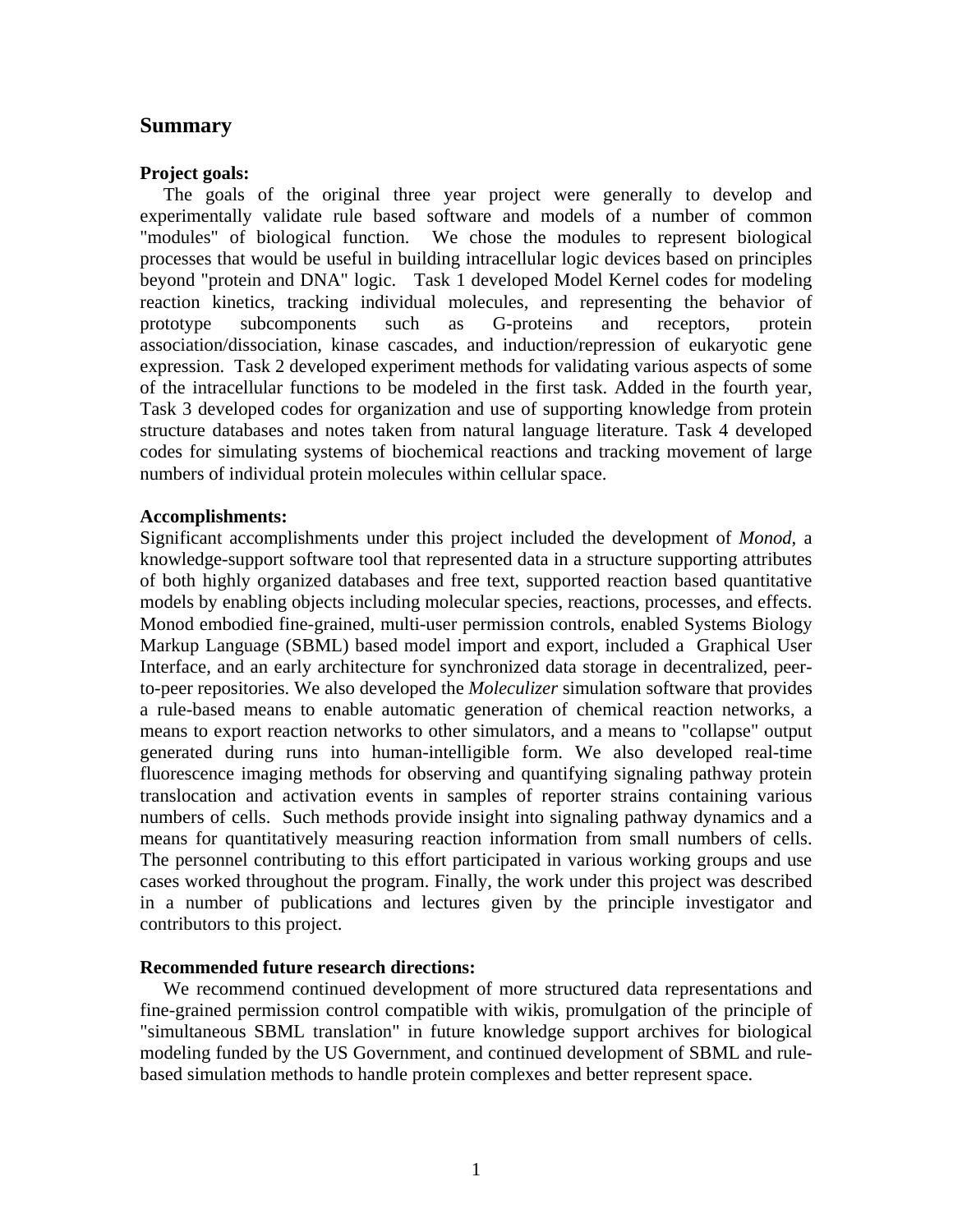### **Summary**

#### **Project goals:**

 The goals of the original three year project were generally to develop and experimentally validate rule based software and models of a number of common "modules" of biological function. We chose the modules to represent biological processes that would be useful in building intracellular logic devices based on principles beyond "protein and DNA" logic. Task 1 developed Model Kernel codes for modeling reaction kinetics, tracking individual molecules, and representing the behavior of prototype subcomponents such as G-proteins and receptors, protein association/dissociation, kinase cascades, and induction/repression of eukaryotic gene expression. Task 2 developed experiment methods for validating various aspects of some of the intracellular functions to be modeled in the first task. Added in the fourth year, Task 3 developed codes for organization and use of supporting knowledge from protein structure databases and notes taken from natural language literature. Task 4 developed codes for simulating systems of biochemical reactions and tracking movement of large numbers of individual protein molecules within cellular space.

#### **Accomplishments:**

Significant accomplishments under this project included the development of *Monod*, a knowledge-support software tool that represented data in a structure supporting attributes of both highly organized databases and free text, supported reaction based quantitative models by enabling objects including molecular species, reactions, processes, and effects. Monod embodied fine-grained, multi-user permission controls, enabled Systems Biology Markup Language (SBML) based model import and export, included a Graphical User Interface, and an early architecture for synchronized data storage in decentralized, peerto-peer repositories. We also developed the *Moleculizer* simulation software that provides a rule-based means to enable automatic generation of chemical reaction networks, a means to export reaction networks to other simulators, and a means to "collapse" output generated during runs into human-intelligible form. We also developed real-time fluorescence imaging methods for observing and quantifying signaling pathway protein translocation and activation events in samples of reporter strains containing various numbers of cells. Such methods provide insight into signaling pathway dynamics and a means for quantitatively measuring reaction information from small numbers of cells. The personnel contributing to this effort participated in various working groups and use cases worked throughout the program. Finally, the work under this project was described in a number of publications and lectures given by the principle investigator and contributors to this project.

#### **Recommended future research directions:**

 We recommend continued development of more structured data representations and fine-grained permission control compatible with wikis, promulgation of the principle of "simultaneous SBML translation" in future knowledge support archives for biological modeling funded by the US Government, and continued development of SBML and rulebased simulation methods to handle protein complexes and better represent space.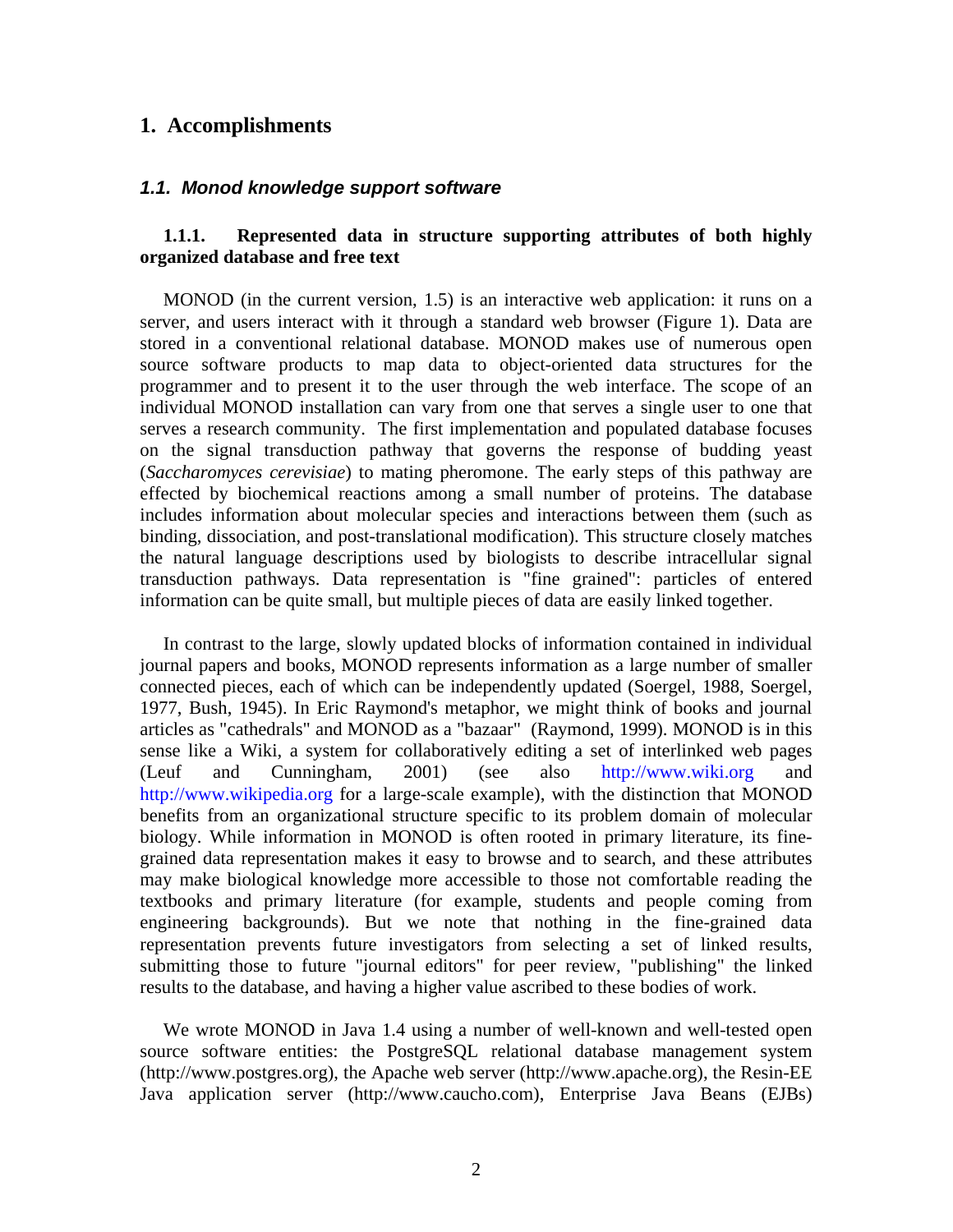#### **1. Accomplishments**

#### *1.1. Monod knowledge support software*

#### **1.1.1. Represented data in structure supporting attributes of both highly organized database and free text**

 MONOD (in the current version, 1.5) is an interactive web application: it runs on a server, and users interact with it through a standard web browser (Figure 1). Data are stored in a conventional relational database. MONOD makes use of numerous open source software products to map data to object-oriented data structures for the programmer and to present it to the user through the web interface. The scope of an individual MONOD installation can vary from one that serves a single user to one that serves a research community. The first implementation and populated database focuses on the signal transduction pathway that governs the response of budding yeast (*Saccharomyces cerevisiae*) to mating pheromone. The early steps of this pathway are effected by biochemical reactions among a small number of proteins. The database includes information about molecular species and interactions between them (such as binding, dissociation, and post-translational modification). This structure closely matches the natural language descriptions used by biologists to describe intracellular signal transduction pathways. Data representation is "fine grained": particles of entered information can be quite small, but multiple pieces of data are easily linked together.

 In contrast to the large, slowly updated blocks of information contained in individual journal papers and books, MONOD represents information as a large number of smaller connected pieces, each of which can be independently updated (Soergel, 1988, Soergel, 1977, Bush, 1945). In Eric Raymond's metaphor, we might think of books and journal articles as "cathedrals" and MONOD as a "bazaar" (Raymond, 1999). MONOD is in this sense like a Wiki, a system for collaboratively editing a set of interlinked web pages (Leuf and Cunningham, 2001) (see also http://www.wiki.org and http://www.wikipedia.org for a large-scale example), with the distinction that MONOD benefits from an organizational structure specific to its problem domain of molecular biology. While information in MONOD is often rooted in primary literature, its finegrained data representation makes it easy to browse and to search, and these attributes may make biological knowledge more accessible to those not comfortable reading the textbooks and primary literature (for example, students and people coming from engineering backgrounds). But we note that nothing in the fine-grained data representation prevents future investigators from selecting a set of linked results, submitting those to future "journal editors" for peer review, "publishing" the linked results to the database, and having a higher value ascribed to these bodies of work.

 We wrote MONOD in Java 1.4 using a number of well-known and well-tested open source software entities: the PostgreSQL relational database management system (http://www.postgres.org), the Apache web server (http://www.apache.org), the Resin-EE Java application server (http://www.caucho.com), Enterprise Java Beans (EJBs)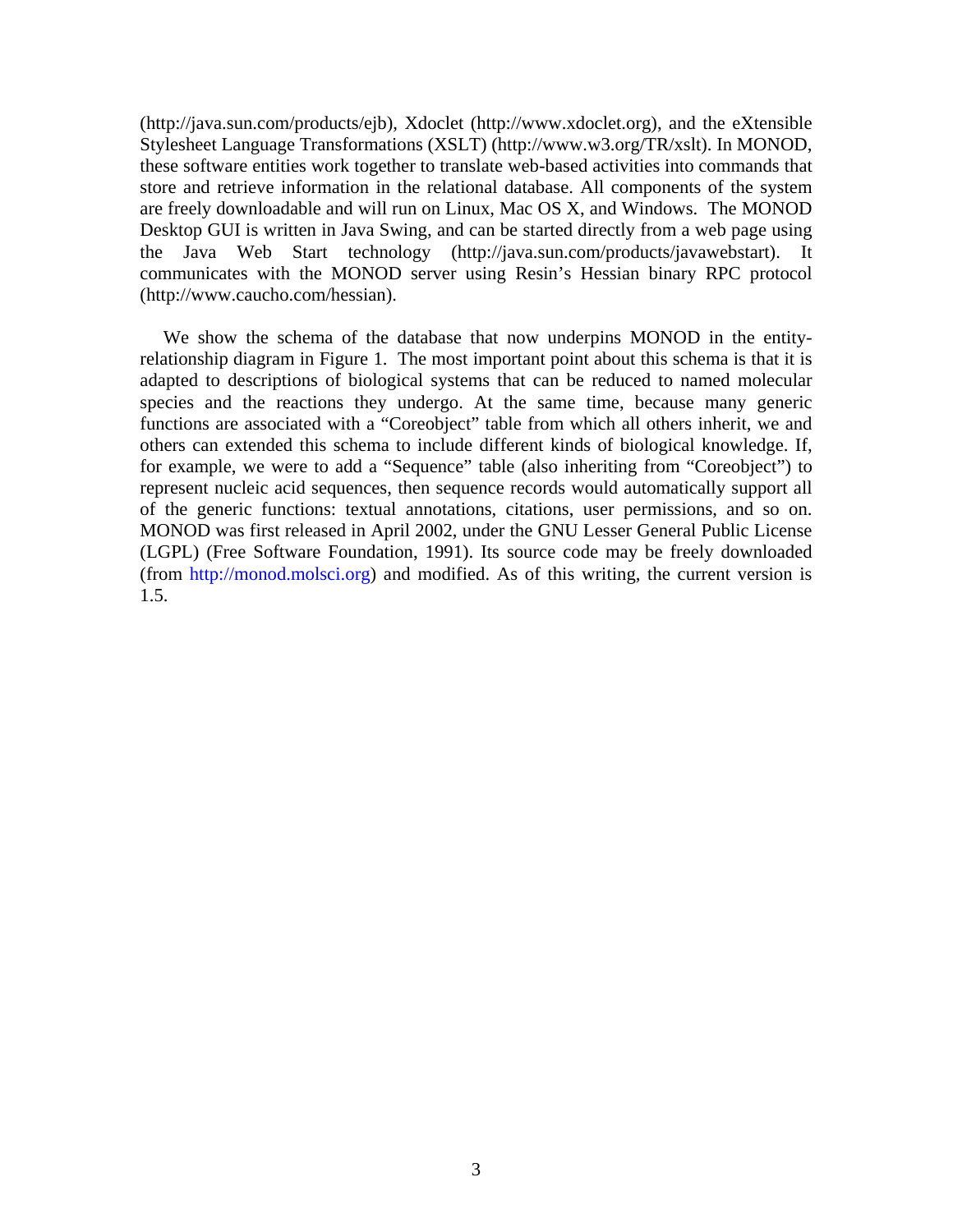(http://java.sun.com/products/ejb), Xdoclet (http://www.xdoclet.org), and the eXtensible Stylesheet Language Transformations (XSLT) (http://www.w3.org/TR/xslt). In MONOD, these software entities work together to translate web-based activities into commands that store and retrieve information in the relational database. All components of the system are freely downloadable and will run on Linux, Mac OS X, and Windows. The MONOD Desktop GUI is written in Java Swing, and can be started directly from a web page using the Java Web Start technology (http://java.sun.com/products/javawebstart). It communicates with the MONOD server using Resin's Hessian binary RPC protocol (http://www.caucho.com/hessian).

 We show the schema of the database that now underpins MONOD in the entityrelationship diagram in Figure 1. The most important point about this schema is that it is adapted to descriptions of biological systems that can be reduced to named molecular species and the reactions they undergo. At the same time, because many generic functions are associated with a "Coreobject" table from which all others inherit, we and others can extended this schema to include different kinds of biological knowledge. If, for example, we were to add a "Sequence" table (also inheriting from "Coreobject") to represent nucleic acid sequences, then sequence records would automatically support all of the generic functions: textual annotations, citations, user permissions, and so on. MONOD was first released in April 2002, under the GNU Lesser General Public License (LGPL) (Free Software Foundation, 1991). Its source code may be freely downloaded (from http://monod.molsci.org) and modified. As of this writing, the current version is 1.5.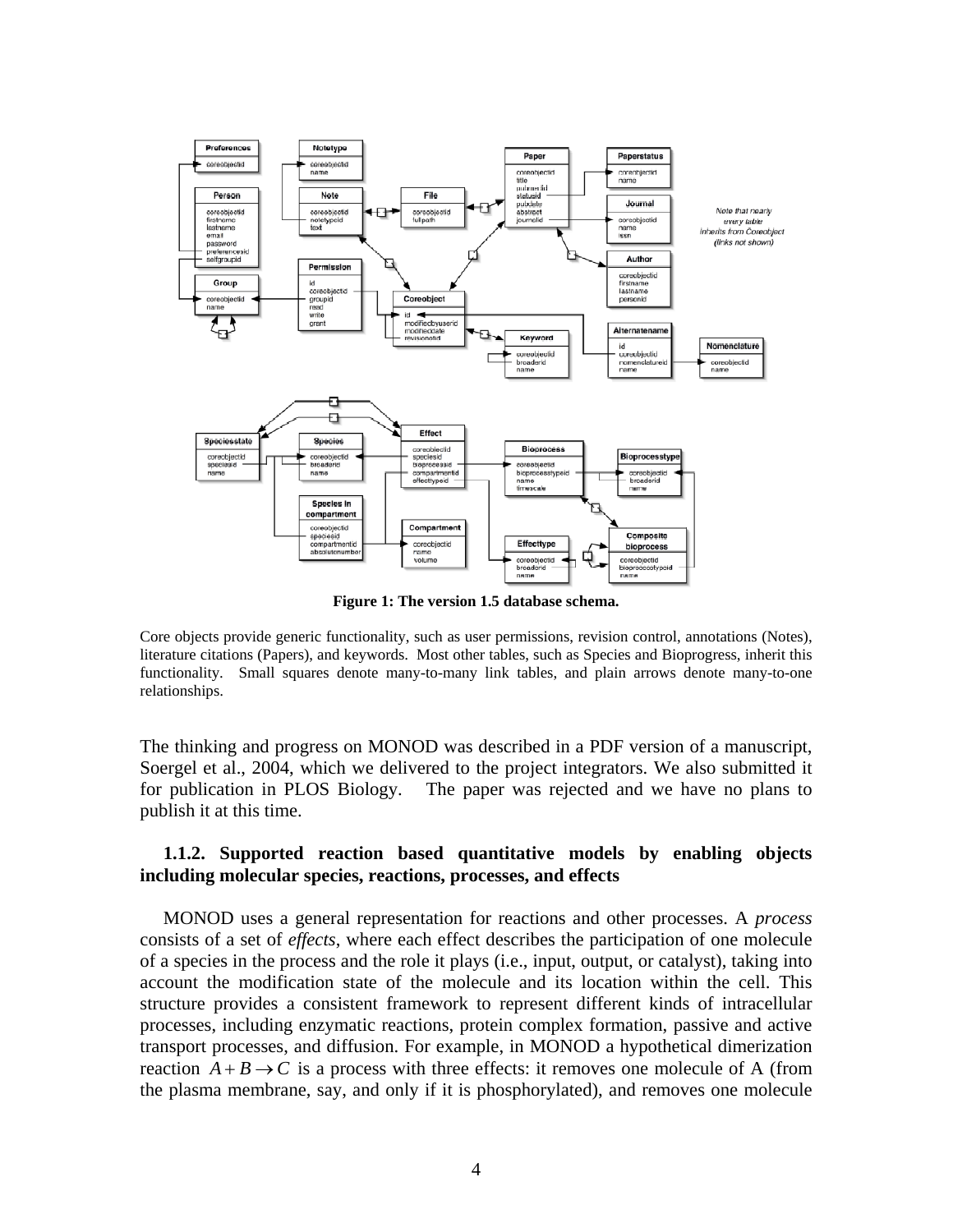

**Figure 1: The version 1.5 database schema.** 

Core objects provide generic functionality, such as user permissions, revision control, annotations (Notes), literature citations (Papers), and keywords. Most other tables, such as Species and Bioprogress, inherit this functionality. Small squares denote many-to-many link tables, and plain arrows denote many-to-one relationships.

The thinking and progress on MONOD was described in a PDF version of a manuscript, Soergel et al., 2004, which we delivered to the project integrators. We also submitted it for publication in PLOS Biology. The paper was rejected and we have no plans to publish it at this time.

#### **1.1.2. Supported reaction based quantitative models by enabling objects including molecular species, reactions, processes, and effects**

 MONOD uses a general representation for reactions and other processes. A *process*  consists of a set of *effects*, where each effect describes the participation of one molecule of a species in the process and the role it plays (i.e., input, output, or catalyst), taking into account the modification state of the molecule and its location within the cell. This structure provides a consistent framework to represent different kinds of intracellular processes, including enzymatic reactions, protein complex formation, passive and active transport processes, and diffusion. For example, in MONOD a hypothetical dimerization reaction  $A + B \rightarrow C$  is a process with three effects: it removes one molecule of A (from the plasma membrane, say, and only if it is phosphorylated), and removes one molecule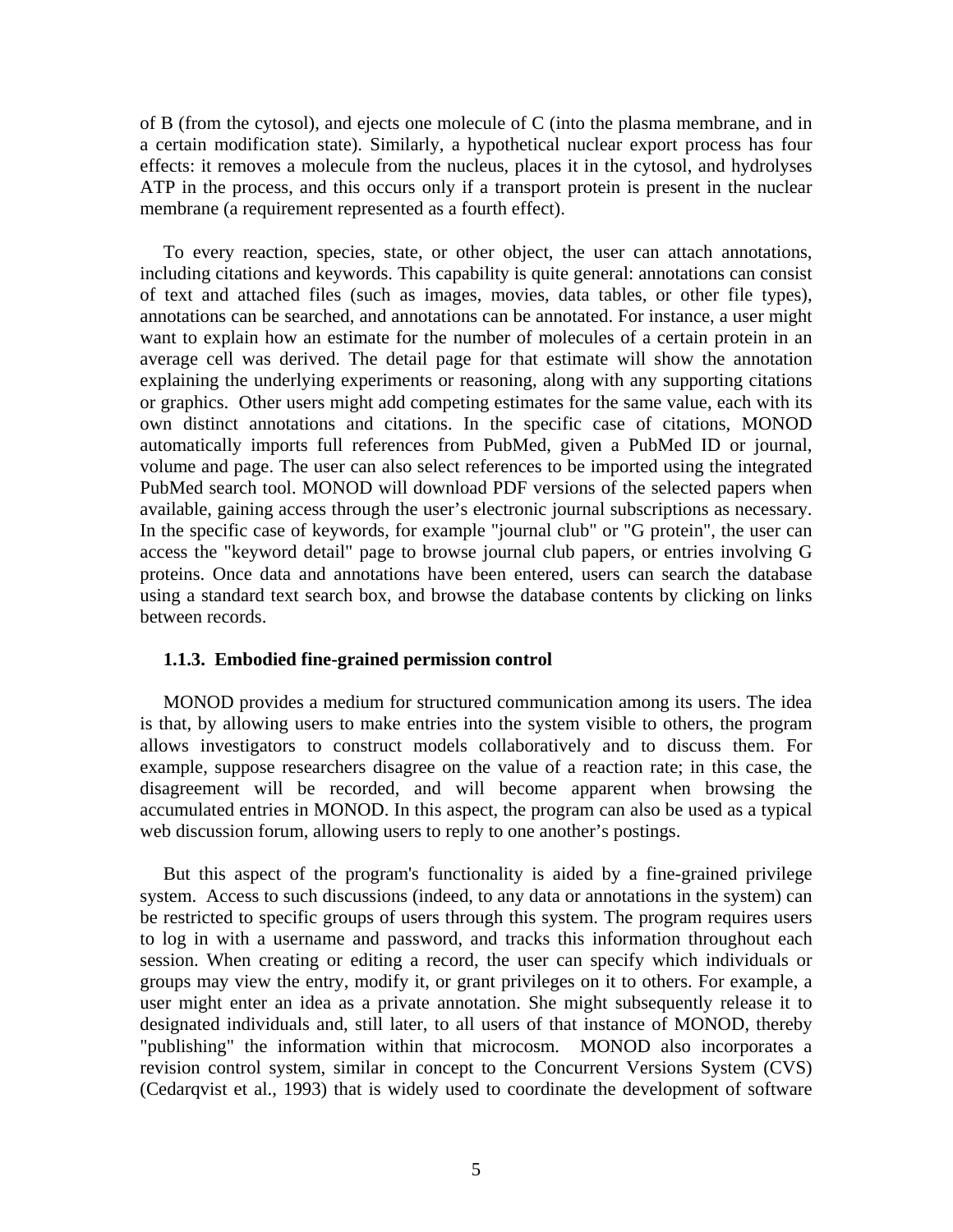of B (from the cytosol), and ejects one molecule of C (into the plasma membrane, and in a certain modification state). Similarly, a hypothetical nuclear export process has four effects: it removes a molecule from the nucleus, places it in the cytosol, and hydrolyses ATP in the process, and this occurs only if a transport protein is present in the nuclear membrane (a requirement represented as a fourth effect).

 To every reaction, species, state, or other object, the user can attach annotations, including citations and keywords. This capability is quite general: annotations can consist of text and attached files (such as images, movies, data tables, or other file types), annotations can be searched, and annotations can be annotated. For instance, a user might want to explain how an estimate for the number of molecules of a certain protein in an average cell was derived. The detail page for that estimate will show the annotation explaining the underlying experiments or reasoning, along with any supporting citations or graphics. Other users might add competing estimates for the same value, each with its own distinct annotations and citations. In the specific case of citations, MONOD automatically imports full references from PubMed, given a PubMed ID or journal, volume and page. The user can also select references to be imported using the integrated PubMed search tool. MONOD will download PDF versions of the selected papers when available, gaining access through the user's electronic journal subscriptions as necessary. In the specific case of keywords, for example "journal club" or "G protein", the user can access the "keyword detail" page to browse journal club papers, or entries involving G proteins. Once data and annotations have been entered, users can search the database using a standard text search box, and browse the database contents by clicking on links between records.

#### **1.1.3. Embodied fine-grained permission control**

 MONOD provides a medium for structured communication among its users. The idea is that, by allowing users to make entries into the system visible to others, the program allows investigators to construct models collaboratively and to discuss them. For example, suppose researchers disagree on the value of a reaction rate; in this case, the disagreement will be recorded, and will become apparent when browsing the accumulated entries in MONOD. In this aspect, the program can also be used as a typical web discussion forum, allowing users to reply to one another's postings.

 But this aspect of the program's functionality is aided by a fine-grained privilege system. Access to such discussions (indeed, to any data or annotations in the system) can be restricted to specific groups of users through this system. The program requires users to log in with a username and password, and tracks this information throughout each session. When creating or editing a record, the user can specify which individuals or groups may view the entry, modify it, or grant privileges on it to others. For example, a user might enter an idea as a private annotation. She might subsequently release it to designated individuals and, still later, to all users of that instance of MONOD, thereby "publishing" the information within that microcosm. MONOD also incorporates a revision control system, similar in concept to the Concurrent Versions System (CVS) (Cedarqvist et al., 1993) that is widely used to coordinate the development of software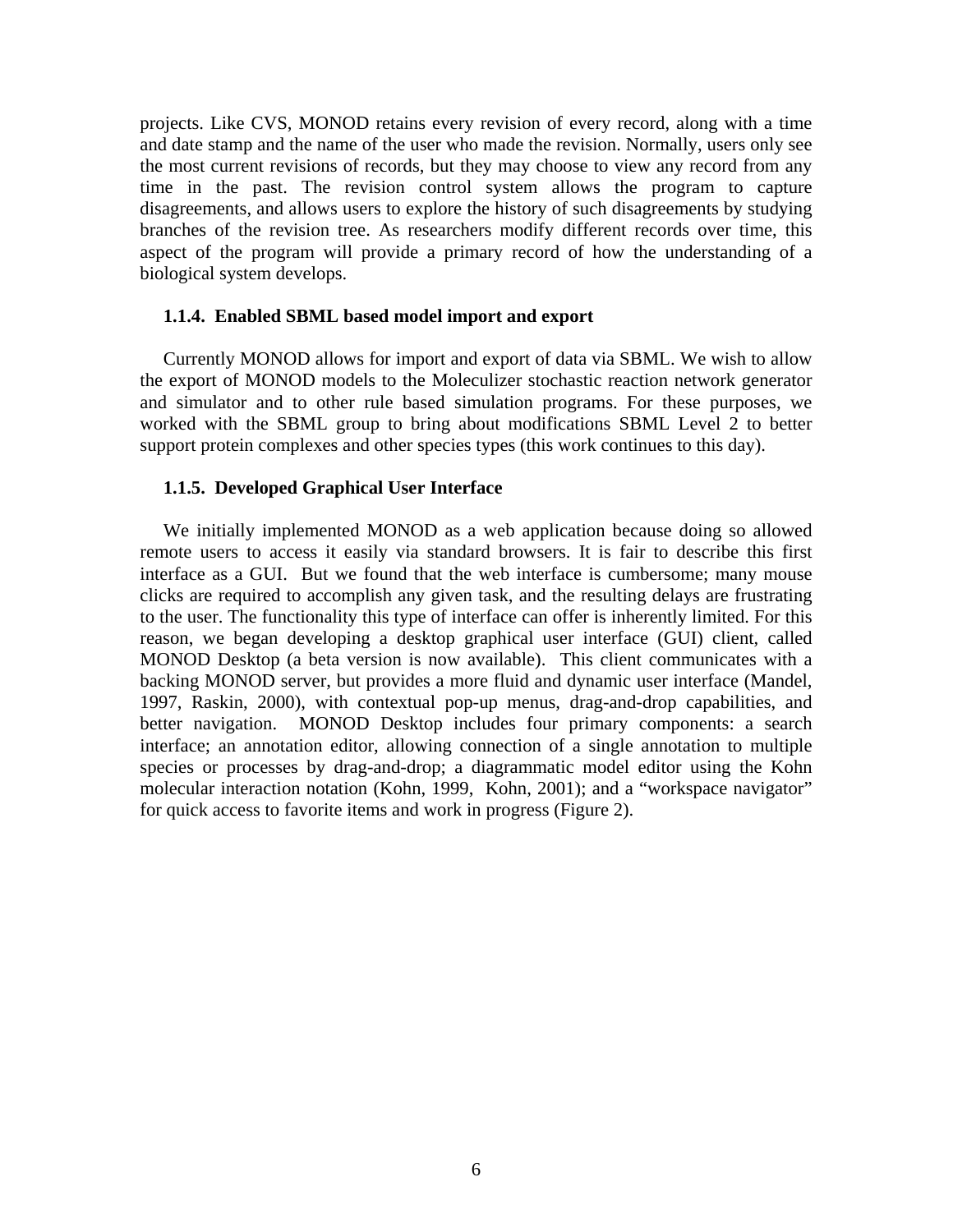projects. Like CVS, MONOD retains every revision of every record, along with a time and date stamp and the name of the user who made the revision. Normally, users only see the most current revisions of records, but they may choose to view any record from any time in the past. The revision control system allows the program to capture disagreements, and allows users to explore the history of such disagreements by studying branches of the revision tree. As researchers modify different records over time, this aspect of the program will provide a primary record of how the understanding of a biological system develops.

#### **1.1.4. Enabled SBML based model import and export**

 Currently MONOD allows for import and export of data via SBML. We wish to allow the export of MONOD models to the Moleculizer stochastic reaction network generator and simulator and to other rule based simulation programs. For these purposes, we worked with the SBML group to bring about modifications SBML Level 2 to better support protein complexes and other species types (this work continues to this day).

#### **1.1.5. Developed Graphical User Interface**

 We initially implemented MONOD as a web application because doing so allowed remote users to access it easily via standard browsers. It is fair to describe this first interface as a GUI. But we found that the web interface is cumbersome; many mouse clicks are required to accomplish any given task, and the resulting delays are frustrating to the user. The functionality this type of interface can offer is inherently limited. For this reason, we began developing a desktop graphical user interface (GUI) client, called MONOD Desktop (a beta version is now available). This client communicates with a backing MONOD server, but provides a more fluid and dynamic user interface (Mandel, 1997, Raskin, 2000), with contextual pop-up menus, drag-and-drop capabilities, and better navigation. MONOD Desktop includes four primary components: a search interface; an annotation editor, allowing connection of a single annotation to multiple species or processes by drag-and-drop; a diagrammatic model editor using the Kohn molecular interaction notation (Kohn, 1999, Kohn, 2001); and a "workspace navigator" for quick access to favorite items and work in progress (Figure 2).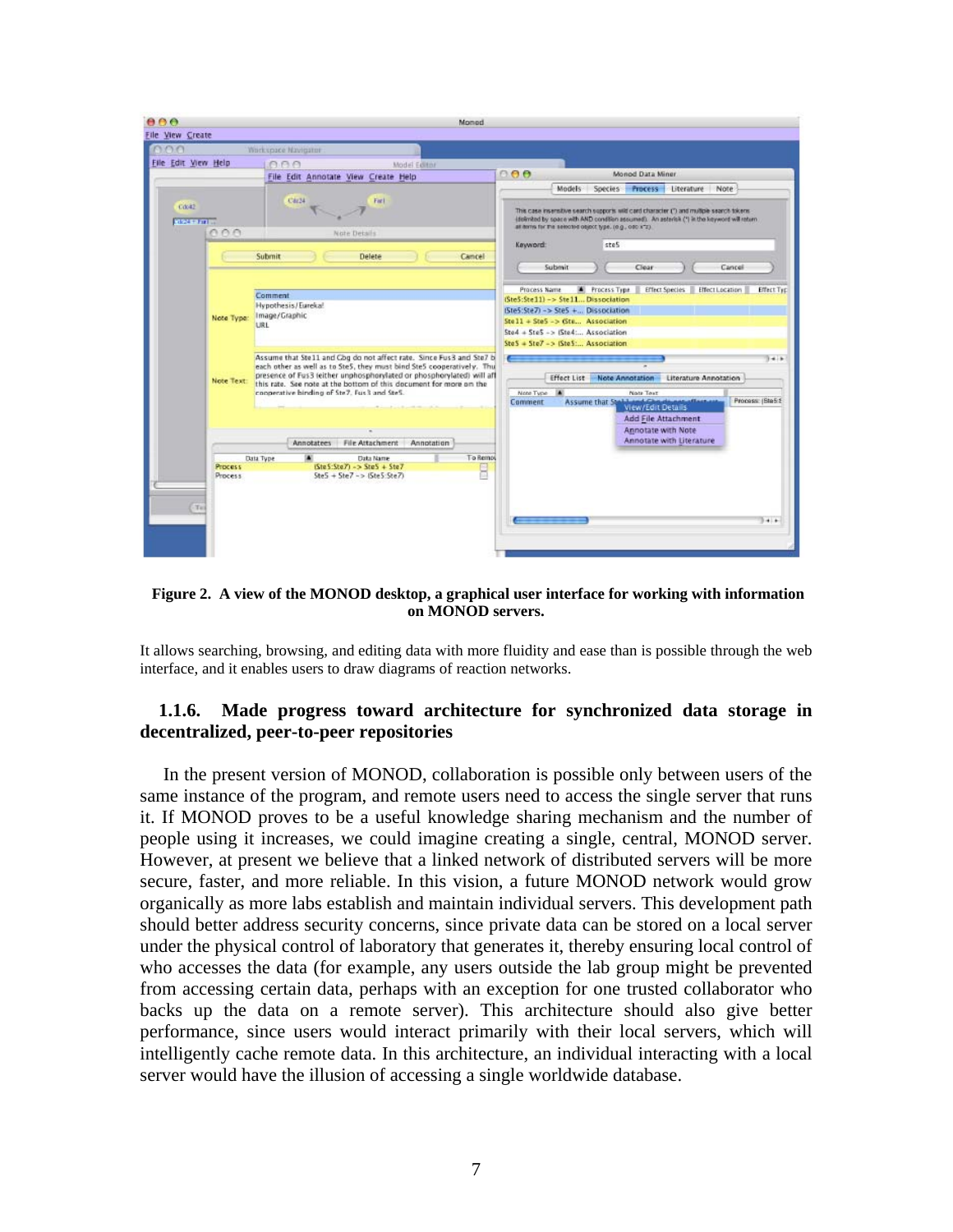| 000                                | Momod                                                                                                                                                                                                                                                                                                                                       |                                                                                                                                                                                                                                                                                                 |  |  |
|------------------------------------|---------------------------------------------------------------------------------------------------------------------------------------------------------------------------------------------------------------------------------------------------------------------------------------------------------------------------------------------|-------------------------------------------------------------------------------------------------------------------------------------------------------------------------------------------------------------------------------------------------------------------------------------------------|--|--|
| <b>File View Create</b><br>nnn     | Workspace Navigator                                                                                                                                                                                                                                                                                                                         |                                                                                                                                                                                                                                                                                                 |  |  |
| File Edit View Help                | <b>CCC</b><br>Model Editor                                                                                                                                                                                                                                                                                                                  | 888<br>Monod Data Miner                                                                                                                                                                                                                                                                         |  |  |
| C(x t)<br><b>REPAIR FOR</b><br>000 | File Edit Annotate View Create Help<br>C4r34<br>Farl<br>Note Details                                                                                                                                                                                                                                                                        | Models<br>Species Process Literature Note<br>This case insensitive search supports wild card character (") and multiple search tokens<br>idelimited by space with AND condition assumed). An asterisk (*) in the keyword will return<br>at terms for the selected object type. (e.g., odc x*z). |  |  |
|                                    | Submit<br>Delete<br>Camcel                                                                                                                                                                                                                                                                                                                  | Keyword:<br>stes<br>Submit<br>Cancel<br>Clear                                                                                                                                                                                                                                                   |  |  |
| Note Type:                         | <b>Comment</b><br>Hypothesis/Eurekal<br>Image/Graphic<br>LIRE                                                                                                                                                                                                                                                                               | Process Name<br><b>A</b> Process Type<br>Effect Species<br>Effect Location<br><b>Effect Typ</b><br>(Ste5:Ste11) -> Ste11 Dissociation<br>(Ste5:Ste7) -> Ste5 + Dissociation<br>Stell + SteS -> (Ste Association<br>Ste4 + Ste5 -> (Ste4: Association)<br>Ste5 = Ste7 -> (Ste5 , Association)    |  |  |
| Note Text:                         | Assume that Ste11 and Cbg do not affect rate. Since Fus3 and Ste7 b<br>each other as well as to SteS, they must bind SteS cooperatively. Thu<br>presence of Fus3 (either unphosphorylated or phosphorylated) will aff<br>this rate. See note at the bottom of this document for more on the<br>cooperative binding of Ste7. Fus 3 and Ste5. | $1 + 1$<br><b>Effect List</b><br>Note Annotation<br>Literature Annotation<br>D.<br>Note Type<br>Note Text<br>Assume that Stabband Chards not offer are<br>Process: (Ble5.8)<br>Comment<br>View/Edit Details                                                                                     |  |  |
| <b>Process</b><br>Process:         | Annotatees File Attachment<br>Annotation<br>To Remo<br>٠<br>Data Type<br>Data Name<br>$15te5: SteZ - 3.5te5 + SteZ$<br>8<br>$Ste5 + Ste7 - > (Ste5:Ste7)$                                                                                                                                                                                   | Add File Attachment<br>Annotate with Note<br>Annotate with Literature                                                                                                                                                                                                                           |  |  |
| Tel                                |                                                                                                                                                                                                                                                                                                                                             | $3 - 1$                                                                                                                                                                                                                                                                                         |  |  |

 **Figure 2. A view of the MONOD desktop, a graphical user interface for working with information on MONOD servers.** 

It allows searching, browsing, and editing data with more fluidity and ease than is possible through the web interface, and it enables users to draw diagrams of reaction networks.

#### **1.1.6. Made progress toward architecture for synchronized data storage in decentralized, peer-to-peer repositories**

 In the present version of MONOD, collaboration is possible only between users of the same instance of the program, and remote users need to access the single server that runs it. If MONOD proves to be a useful knowledge sharing mechanism and the number of people using it increases, we could imagine creating a single, central, MONOD server. However, at present we believe that a linked network of distributed servers will be more secure, faster, and more reliable. In this vision, a future MONOD network would grow organically as more labs establish and maintain individual servers. This development path should better address security concerns, since private data can be stored on a local server under the physical control of laboratory that generates it, thereby ensuring local control of who accesses the data (for example, any users outside the lab group might be prevented from accessing certain data, perhaps with an exception for one trusted collaborator who backs up the data on a remote server). This architecture should also give better performance, since users would interact primarily with their local servers, which will intelligently cache remote data. In this architecture, an individual interacting with a local server would have the illusion of accessing a single worldwide database.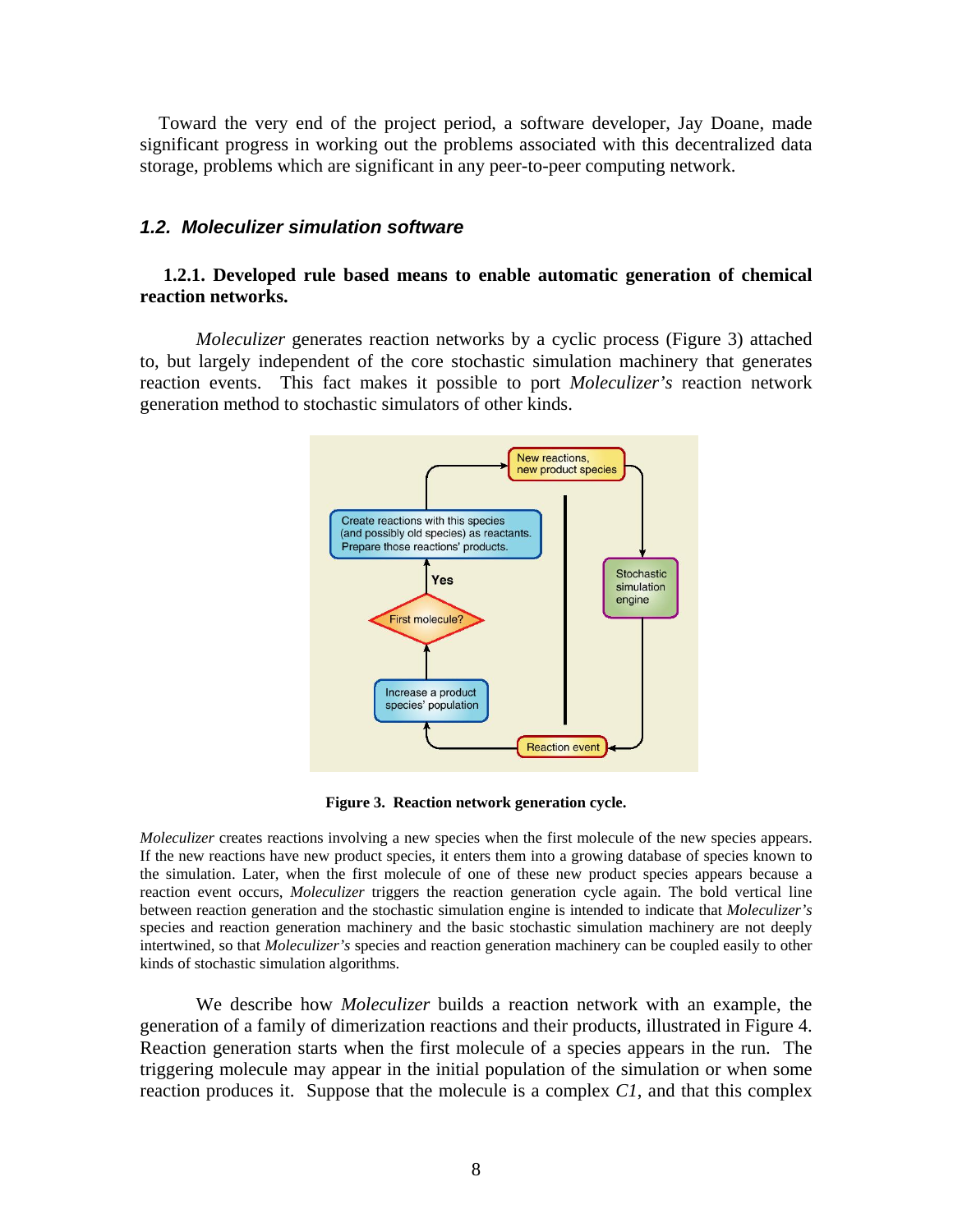Toward the very end of the project period, a software developer, Jay Doane, made significant progress in working out the problems associated with this decentralized data storage, problems which are significant in any peer-to-peer computing network.

#### *1.2. Moleculizer simulation software*

#### **1.2.1. Developed rule based means to enable automatic generation of chemical reaction networks.**

*Moleculizer* generates reaction networks by a cyclic process (Figure 3) attached to, but largely independent of the core stochastic simulation machinery that generates reaction events. This fact makes it possible to port *Moleculizer's* reaction network generation method to stochastic simulators of other kinds.



**Figure 3. Reaction network generation cycle.** 

*Moleculizer* creates reactions involving a new species when the first molecule of the new species appears. If the new reactions have new product species, it enters them into a growing database of species known to the simulation. Later, when the first molecule of one of these new product species appears because a reaction event occurs, *Moleculizer* triggers the reaction generation cycle again. The bold vertical line between reaction generation and the stochastic simulation engine is intended to indicate that *Moleculizer's* species and reaction generation machinery and the basic stochastic simulation machinery are not deeply intertwined, so that *Moleculizer's* species and reaction generation machinery can be coupled easily to other kinds of stochastic simulation algorithms.

We describe how *Moleculizer* builds a reaction network with an example, the generation of a family of dimerization reactions and their products, illustrated in Figure 4. Reaction generation starts when the first molecule of a species appears in the run. The triggering molecule may appear in the initial population of the simulation or when some reaction produces it. Suppose that the molecule is a complex *C1*, and that this complex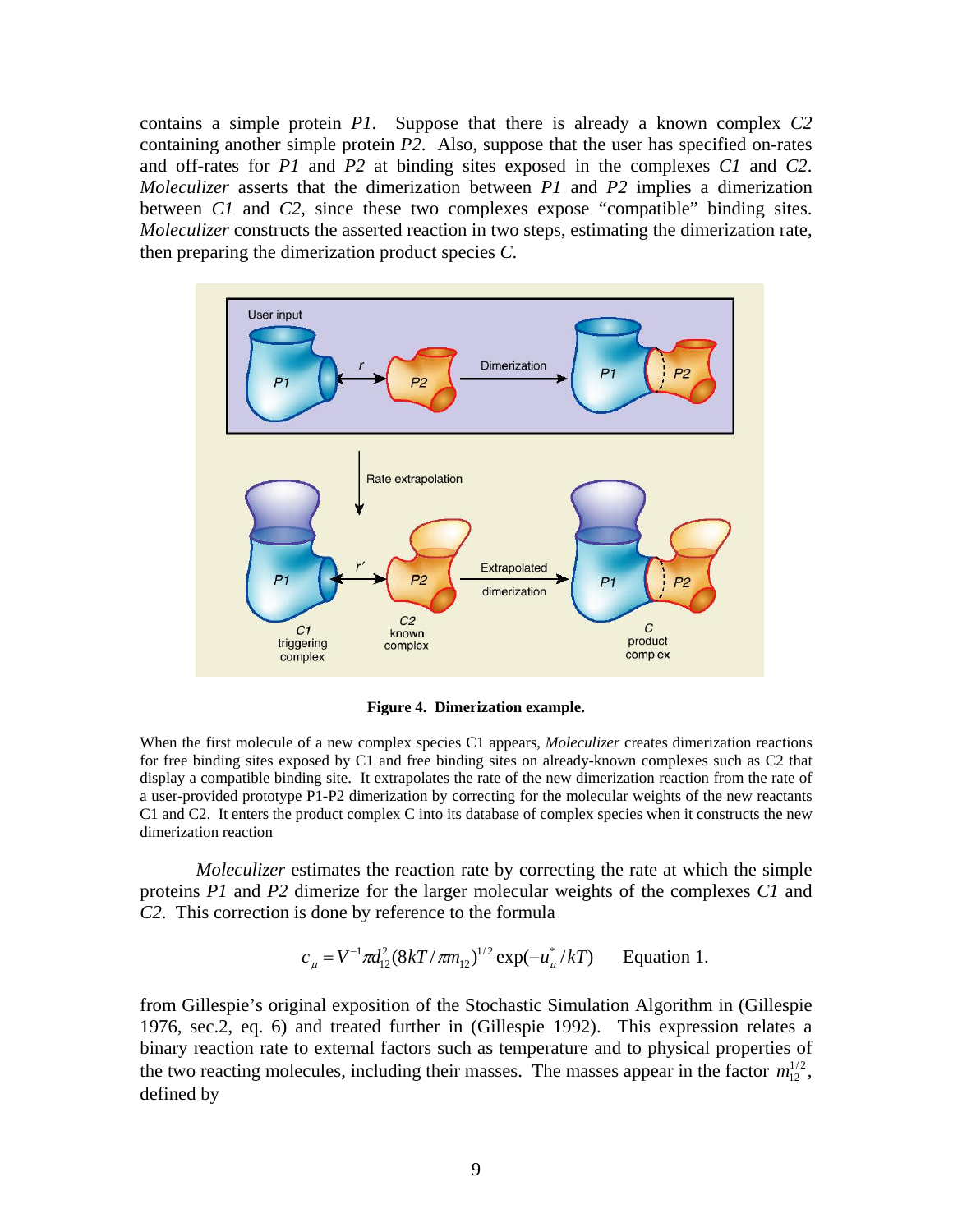contains a simple protein *P1*. Suppose that there is already a known complex *C2* containing another simple protein *P2*. Also, suppose that the user has specified on-rates and off-rates for *P1* and *P2* at binding sites exposed in the complexes *C1* and *C2*. *Moleculizer* asserts that the dimerization between *P1* and *P2* implies a dimerization between *C1* and *C2*, since these two complexes expose "compatible" binding sites. *Moleculizer* constructs the asserted reaction in two steps, estimating the dimerization rate, then preparing the dimerization product species *C*.



**Figure 4. Dimerization example.** 

When the first molecule of a new complex species C1 appears, *Moleculizer* creates dimerization reactions for free binding sites exposed by C1 and free binding sites on already-known complexes such as C2 that display a compatible binding site. It extrapolates the rate of the new dimerization reaction from the rate of a user-provided prototype P1-P2 dimerization by correcting for the molecular weights of the new reactants C1 and C2. It enters the product complex C into its database of complex species when it constructs the new dimerization reaction

*Moleculizer* estimates the reaction rate by correcting the rate at which the simple proteins *P1* and *P2* dimerize for the larger molecular weights of the complexes *C1* and *C2*. This correction is done by reference to the formula

$$
c_{\mu} = V^{-1} \pi d_{12}^2 (8kT / \pi m_{12})^{1/2} \exp(-u_{\mu}^* / kT)
$$
 Equation 1.

from Gillespie's original exposition of the Stochastic Simulation Algorithm in (Gillespie 1976, sec.2, eq. 6) and treated further in (Gillespie 1992). This expression relates a binary reaction rate to external factors such as temperature and to physical properties of the two reacting molecules, including their masses. The masses appear in the factor  $m_{12}^{1/2}$ , defined by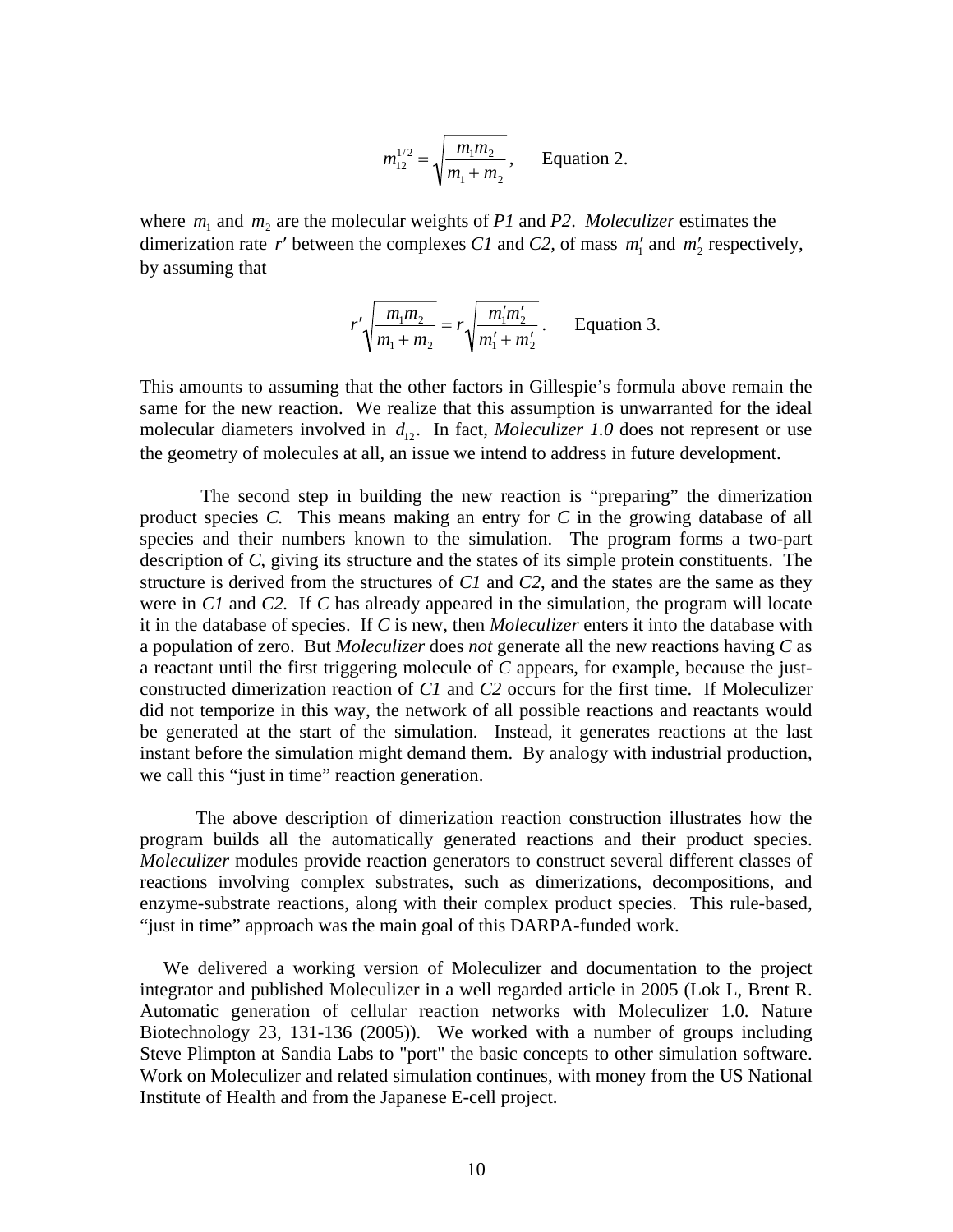$$
m_{12}^{1/2} = \sqrt{\frac{m_1 m_2}{m_1 + m_2}},
$$
 Equation 2.

where  $m_1$  and  $m_2$  are the molecular weights of *P1* and *P2*. *Moleculizer* estimates the dimerization rate r' between the complexes C1 and C2, of mass  $m'_1$  and  $m'_2$  respectively, by assuming that

$$
r'\sqrt{\frac{m_1m_2}{m_1+m_2}} = r\sqrt{\frac{m'_1m'_2}{m'_1+m'_2}}.
$$
 Equation 3.

This amounts to assuming that the other factors in Gillespie's formula above remain the same for the new reaction. We realize that this assumption is unwarranted for the ideal molecular diameters involved in  $d_{12}$ . In fact, *Moleculizer 1.0* does not represent or use the geometry of molecules at all, an issue we intend to address in future development.

 The second step in building the new reaction is "preparing" the dimerization product species *C.* This means making an entry for *C* in the growing database of all species and their numbers known to the simulation. The program forms a two-part description of *C*, giving its structure and the states of its simple protein constituents. The structure is derived from the structures of *C1* and *C2*, and the states are the same as they were in *C1* and *C2.* If *C* has already appeared in the simulation, the program will locate it in the database of species. If *C* is new, then *Moleculizer* enters it into the database with a population of zero. But *Moleculizer* does *not* generate all the new reactions having *C* as a reactant until the first triggering molecule of *C* appears, for example, because the justconstructed dimerization reaction of *C1* and *C2* occurs for the first time. If Moleculizer did not temporize in this way, the network of all possible reactions and reactants would be generated at the start of the simulation. Instead, it generates reactions at the last instant before the simulation might demand them. By analogy with industrial production, we call this "just in time" reaction generation.

The above description of dimerization reaction construction illustrates how the program builds all the automatically generated reactions and their product species. *Moleculizer* modules provide reaction generators to construct several different classes of reactions involving complex substrates, such as dimerizations, decompositions, and enzyme-substrate reactions, along with their complex product species. This rule-based, "just in time" approach was the main goal of this DARPA-funded work.

 We delivered a working version of Moleculizer and documentation to the project integrator and published Moleculizer in a well regarded article in 2005 (Lok L, Brent R. Automatic generation of cellular reaction networks with Moleculizer 1.0. Nature Biotechnology 23, 131-136 (2005)). We worked with a number of groups including Steve Plimpton at Sandia Labs to "port" the basic concepts to other simulation software. Work on Moleculizer and related simulation continues, with money from the US National Institute of Health and from the Japanese E-cell project.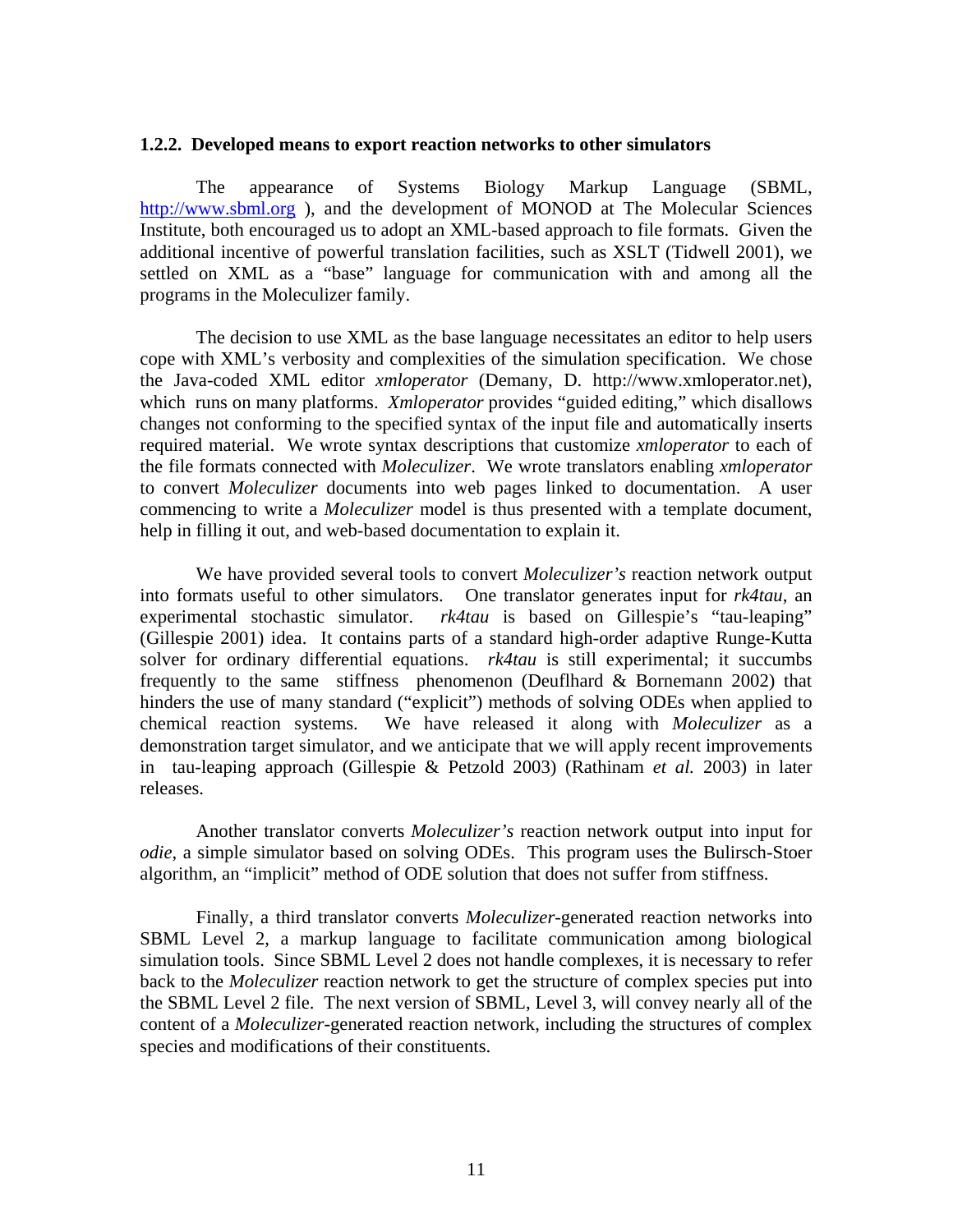#### **1.2.2. Developed means to export reaction networks to other simulators**

The appearance of Systems Biology Markup Language (SBML, http://www.sbml.org ), and the development of MONOD at The Molecular Sciences Institute, both encouraged us to adopt an XML-based approach to file formats. Given the additional incentive of powerful translation facilities, such as XSLT (Tidwell 2001), we settled on XML as a "base" language for communication with and among all the programs in the Moleculizer family.

The decision to use XML as the base language necessitates an editor to help users cope with XML's verbosity and complexities of the simulation specification. We chose the Java-coded XML editor *xmloperator* (Demany, D. http://www.xmloperator.net), which runs on many platforms. *Xmloperator* provides "guided editing," which disallows changes not conforming to the specified syntax of the input file and automatically inserts required material. We wrote syntax descriptions that customize *xmloperator* to each of the file formats connected with *Moleculizer*. We wrote translators enabling *xmloperator* to convert *Moleculizer* documents into web pages linked to documentation. A user commencing to write a *Moleculizer* model is thus presented with a template document, help in filling it out, and web-based documentation to explain it.

We have provided several tools to convert *Moleculizer's* reaction network output into formats useful to other simulators. One translator generates input for *rk4tau*, an experimental stochastic simulator. *rk4tau* is based on Gillespie's "tau-leaping" (Gillespie 2001) idea. It contains parts of a standard high-order adaptive Runge-Kutta solver for ordinary differential equations. *rk4tau* is still experimental; it succumbs frequently to the same stiffness phenomenon (Deuflhard & Bornemann 2002) that hinders the use of many standard ("explicit") methods of solving ODEs when applied to chemical reaction systems. We have released it along with *Moleculizer* as a demonstration target simulator, and we anticipate that we will apply recent improvements in tau-leaping approach (Gillespie & Petzold 2003) (Rathinam *et al.* 2003) in later releases.

Another translator converts *Moleculizer's* reaction network output into input for *odie*, a simple simulator based on solving ODEs. This program uses the Bulirsch-Stoer algorithm, an "implicit" method of ODE solution that does not suffer from stiffness.

Finally, a third translator converts *Moleculizer*-generated reaction networks into SBML Level 2, a markup language to facilitate communication among biological simulation tools. Since SBML Level 2 does not handle complexes, it is necessary to refer back to the *Moleculizer* reaction network to get the structure of complex species put into the SBML Level 2 file. The next version of SBML, Level 3, will convey nearly all of the content of a *Moleculizer*-generated reaction network, including the structures of complex species and modifications of their constituents.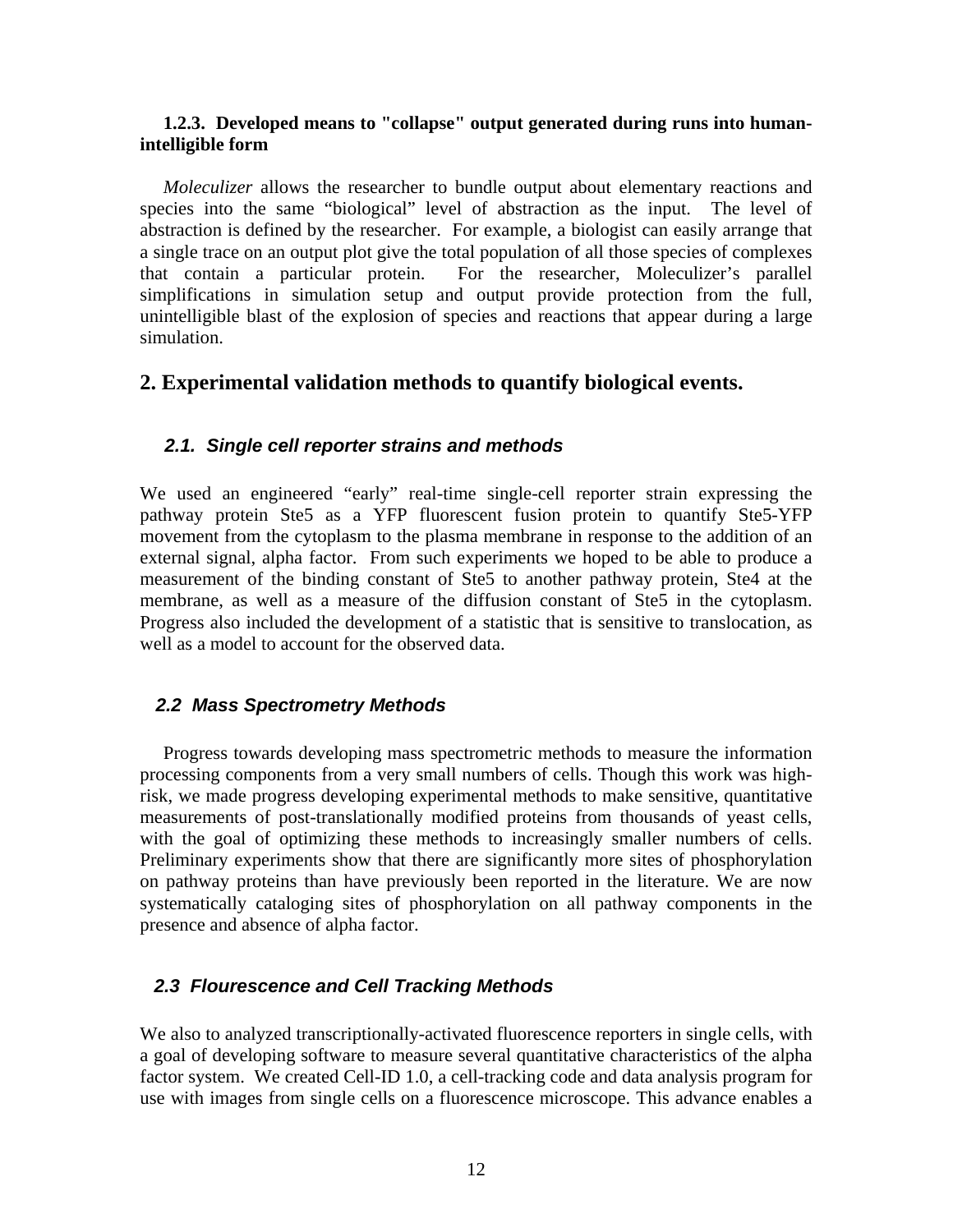#### **1.2.3. Developed means to "collapse" output generated during runs into humanintelligible form**

 *Moleculizer* allows the researcher to bundle output about elementary reactions and species into the same "biological" level of abstraction as the input. The level of abstraction is defined by the researcher. For example, a biologist can easily arrange that a single trace on an output plot give the total population of all those species of complexes that contain a particular protein. For the researcher, Moleculizer's parallel simplifications in simulation setup and output provide protection from the full, unintelligible blast of the explosion of species and reactions that appear during a large simulation.

### **2. Experimental validation methods to quantify biological events.**

#### *2.1. Single cell reporter strains and methods*

We used an engineered "early" real-time single-cell reporter strain expressing the pathway protein Ste5 as a YFP fluorescent fusion protein to quantify Ste5-YFP movement from the cytoplasm to the plasma membrane in response to the addition of an external signal, alpha factor. From such experiments we hoped to be able to produce a measurement of the binding constant of Ste5 to another pathway protein, Ste4 at the membrane, as well as a measure of the diffusion constant of Ste5 in the cytoplasm. Progress also included the development of a statistic that is sensitive to translocation, as well as a model to account for the observed data.

#### *2.2 Mass Spectrometry Methods*

Progress towards developing mass spectrometric methods to measure the information processing components from a very small numbers of cells. Though this work was highrisk, we made progress developing experimental methods to make sensitive, quantitative measurements of post-translationally modified proteins from thousands of yeast cells, with the goal of optimizing these methods to increasingly smaller numbers of cells. Preliminary experiments show that there are significantly more sites of phosphorylation on pathway proteins than have previously been reported in the literature. We are now systematically cataloging sites of phosphorylation on all pathway components in the presence and absence of alpha factor.

#### *2.3 Flourescence and Cell Tracking Methods*

We also to analyzed transcriptionally-activated fluorescence reporters in single cells, with a goal of developing software to measure several quantitative characteristics of the alpha factor system. We created Cell-ID 1.0, a cell-tracking code and data analysis program for use with images from single cells on a fluorescence microscope. This advance enables a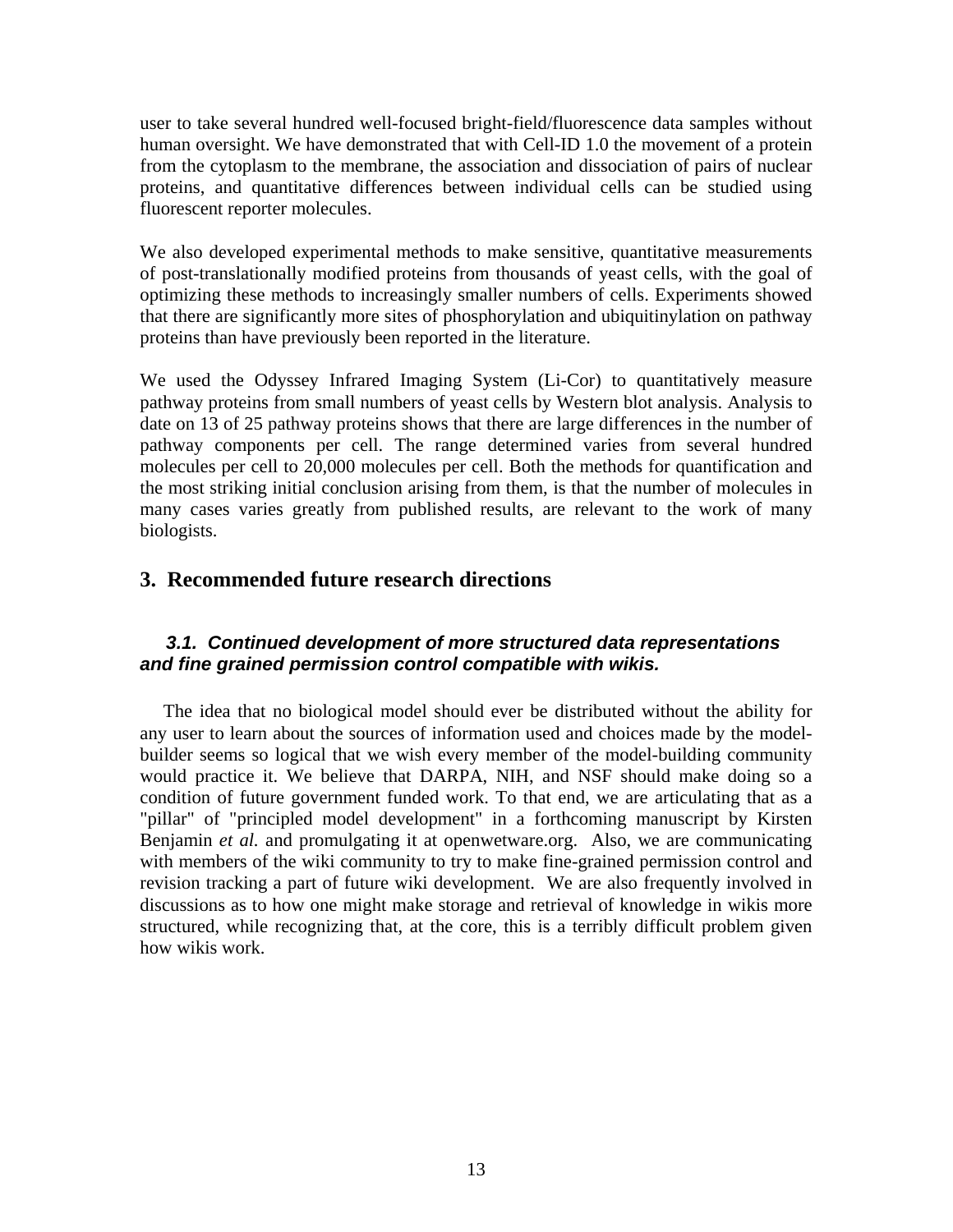user to take several hundred well-focused bright-field/fluorescence data samples without human oversight. We have demonstrated that with Cell-ID 1.0 the movement of a protein from the cytoplasm to the membrane, the association and dissociation of pairs of nuclear proteins, and quantitative differences between individual cells can be studied using fluorescent reporter molecules.

We also developed experimental methods to make sensitive, quantitative measurements of post-translationally modified proteins from thousands of yeast cells, with the goal of optimizing these methods to increasingly smaller numbers of cells. Experiments showed that there are significantly more sites of phosphorylation and ubiquitinylation on pathway proteins than have previously been reported in the literature.

We used the Odyssey Infrared Imaging System (Li-Cor) to quantitatively measure pathway proteins from small numbers of yeast cells by Western blot analysis. Analysis to date on 13 of 25 pathway proteins shows that there are large differences in the number of pathway components per cell. The range determined varies from several hundred molecules per cell to 20,000 molecules per cell. Both the methods for quantification and the most striking initial conclusion arising from them, is that the number of molecules in many cases varies greatly from published results, are relevant to the work of many biologists.

## **3. Recommended future research directions**

### *3.1. Continued development of more structured data representations and fine grained permission control compatible with wikis.*

 The idea that no biological model should ever be distributed without the ability for any user to learn about the sources of information used and choices made by the modelbuilder seems so logical that we wish every member of the model-building community would practice it. We believe that DARPA, NIH, and NSF should make doing so a condition of future government funded work. To that end, we are articulating that as a "pillar" of "principled model development" in a forthcoming manuscript by Kirsten Benjamin *et al.* and promulgating it at openwetware.org. Also, we are communicating with members of the wiki community to try to make fine-grained permission control and revision tracking a part of future wiki development. We are also frequently involved in discussions as to how one might make storage and retrieval of knowledge in wikis more structured, while recognizing that, at the core, this is a terribly difficult problem given how wikis work.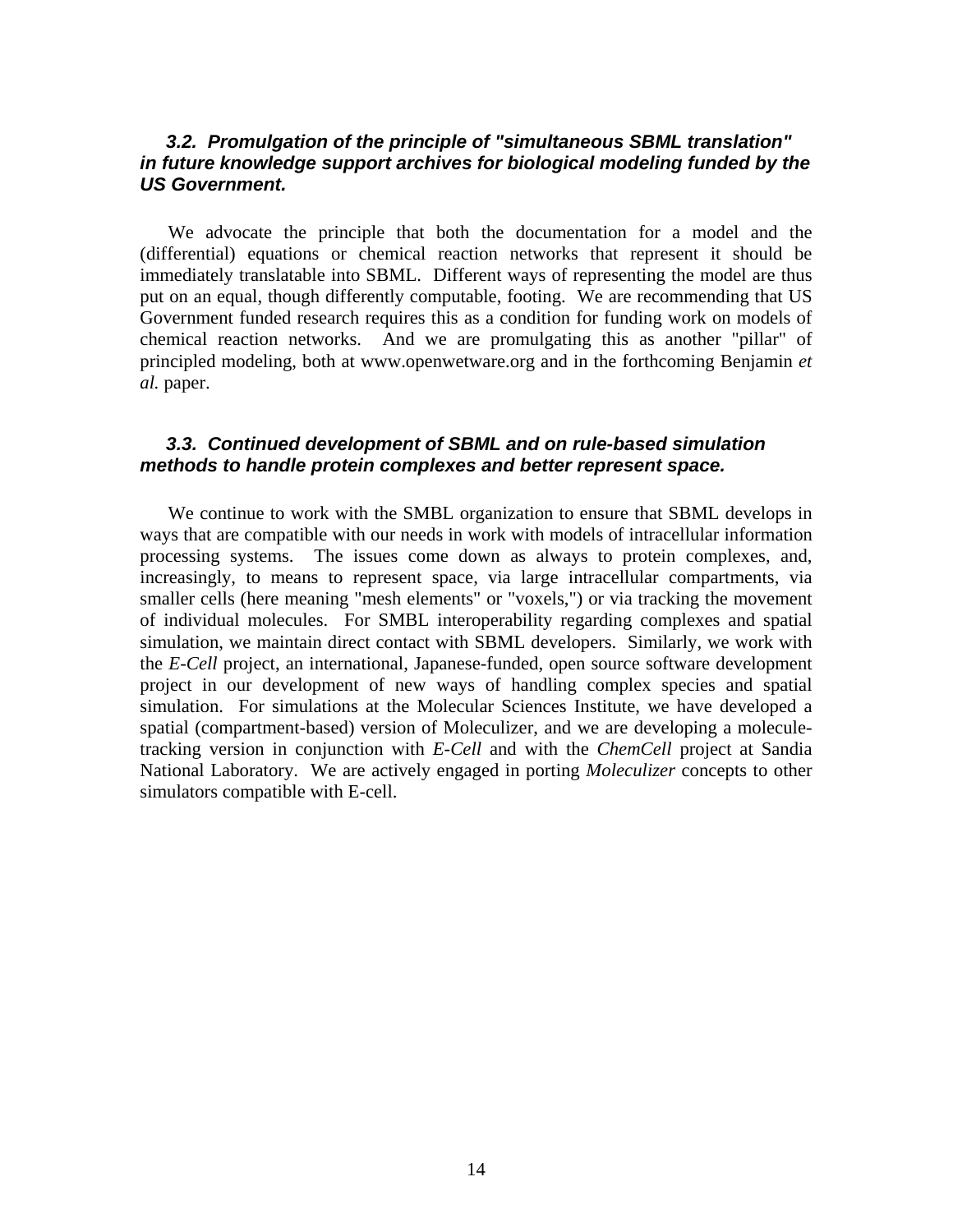#### *3.2. Promulgation of the principle of "simultaneous SBML translation" in future knowledge support archives for biological modeling funded by the US Government.*

 We advocate the principle that both the documentation for a model and the (differential) equations or chemical reaction networks that represent it should be immediately translatable into SBML. Different ways of representing the model are thus put on an equal, though differently computable, footing. We are recommending that US Government funded research requires this as a condition for funding work on models of chemical reaction networks. And we are promulgating this as another "pillar" of principled modeling, both at www.openwetware.org and in the forthcoming Benjamin *et al.* paper.

#### *3.3. Continued development of SBML and on rule-based simulation methods to handle protein complexes and better represent space.*

 We continue to work with the SMBL organization to ensure that SBML develops in ways that are compatible with our needs in work with models of intracellular information processing systems. The issues come down as always to protein complexes, and, increasingly, to means to represent space, via large intracellular compartments, via smaller cells (here meaning "mesh elements" or "voxels,") or via tracking the movement of individual molecules. For SMBL interoperability regarding complexes and spatial simulation, we maintain direct contact with SBML developers. Similarly, we work with the *E-Cell* project, an international, Japanese-funded, open source software development project in our development of new ways of handling complex species and spatial simulation. For simulations at the Molecular Sciences Institute, we have developed a spatial (compartment-based) version of Moleculizer, and we are developing a moleculetracking version in conjunction with *E-Cell* and with the *ChemCell* project at Sandia National Laboratory. We are actively engaged in porting *Moleculizer* concepts to other simulators compatible with E-cell.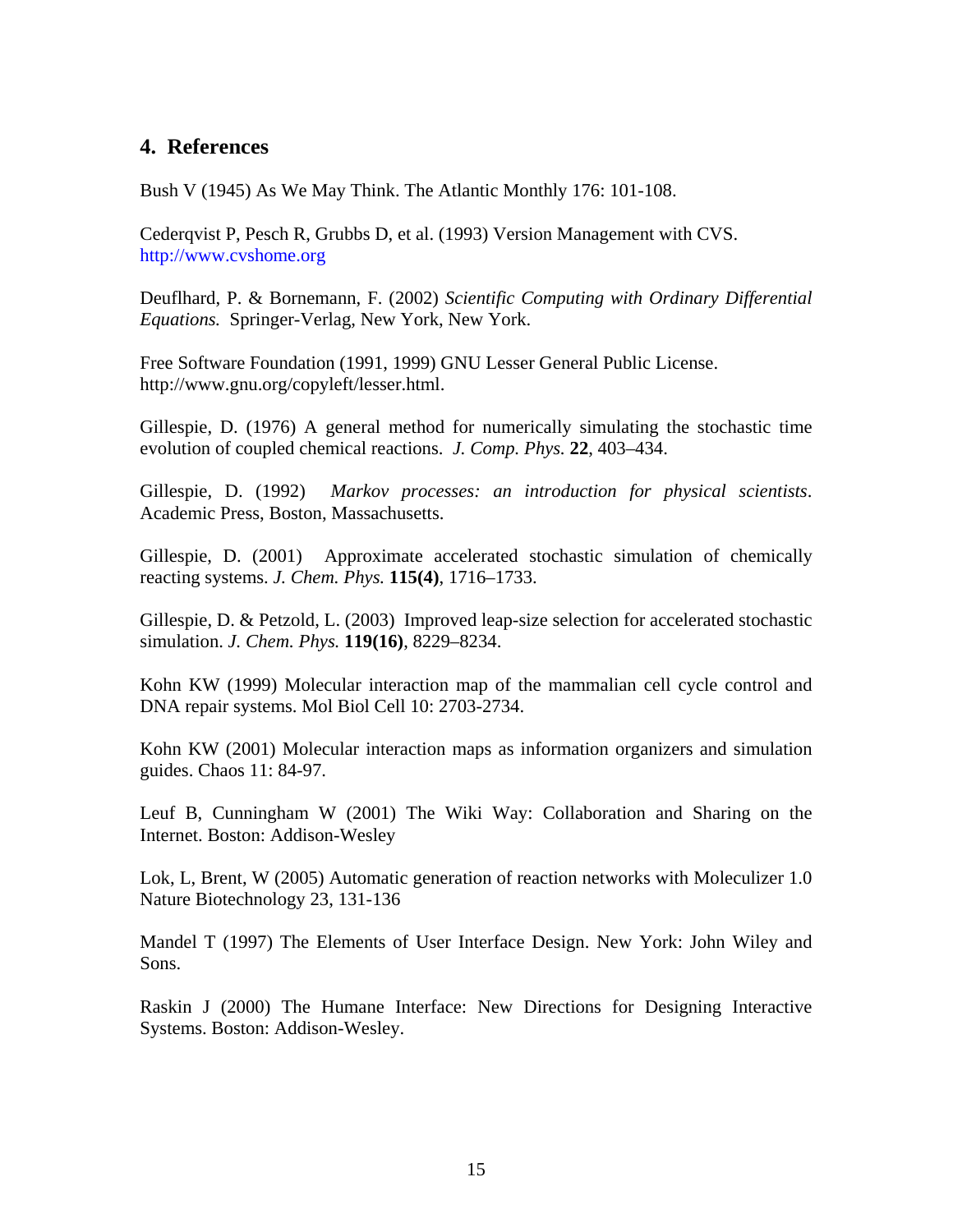## **4. References**

Bush V (1945) As We May Think. The Atlantic Monthly 176: 101-108.

Cederqvist P, Pesch R, Grubbs D, et al. (1993) Version Management with CVS. http://www.cvshome.org

Deuflhard, P. & Bornemann, F. (2002) *Scientific Computing with Ordinary Differential Equations.* Springer-Verlag, New York, New York.

Free Software Foundation (1991, 1999) GNU Lesser General Public License. http://www.gnu.org/copyleft/lesser.html.

Gillespie, D. (1976) A general method for numerically simulating the stochastic time evolution of coupled chemical reactions. *J. Comp. Phys.* **22**, 403–434.

Gillespie, D. (1992) *Markov processes: an introduction for physical scientists*. Academic Press, Boston, Massachusetts.

Gillespie, D. (2001) Approximate accelerated stochastic simulation of chemically reacting systems. *J. Chem. Phys.* **115(4)**, 1716–1733.

Gillespie, D. & Petzold, L. (2003) Improved leap-size selection for accelerated stochastic simulation. *J. Chem. Phys.* **119(16)**, 8229–8234.

Kohn KW (1999) Molecular interaction map of the mammalian cell cycle control and DNA repair systems. Mol Biol Cell 10: 2703-2734.

Kohn KW (2001) Molecular interaction maps as information organizers and simulation guides. Chaos 11: 84-97.

Leuf B, Cunningham W (2001) The Wiki Way: Collaboration and Sharing on the Internet. Boston: Addison-Wesley

Lok, L, Brent, W (2005) Automatic generation of reaction networks with Moleculizer 1.0 Nature Biotechnology 23, 131-136

Mandel T (1997) The Elements of User Interface Design. New York: John Wiley and Sons.

Raskin J (2000) The Humane Interface: New Directions for Designing Interactive Systems. Boston: Addison-Wesley.